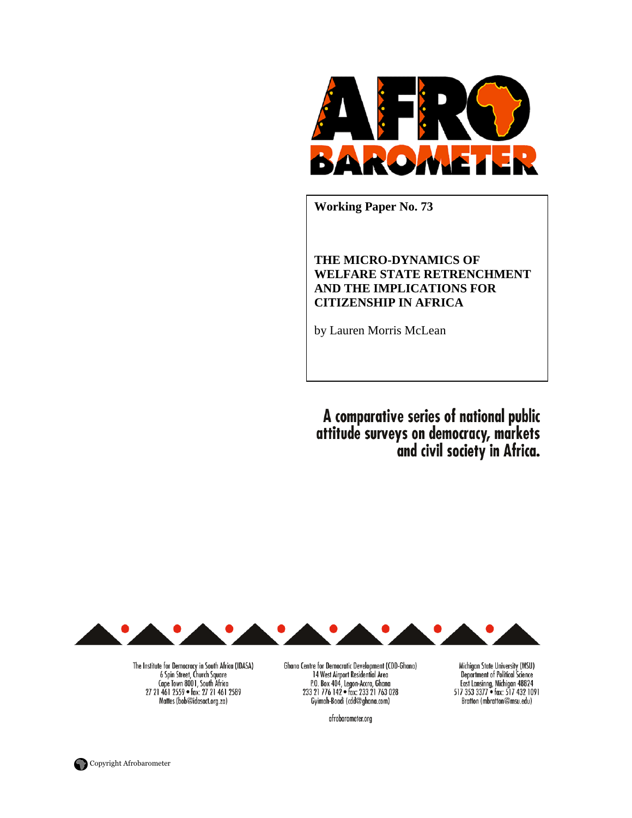

**Working Paper No. 73** 

# **THE MICRO-DYNAMICS OF WELFARE STATE RETRENCHMENT AND THE IMPLICATIONS FOR CITIZENSHIP IN AFRICA**

by Lauren Morris McLean

A comparative series of national public<br>attitude surveys on democracy, markets<br>and civil society in Africa.

Michigan State University (MSU) Department of Political Science<br>East Lansinng, Michigan 48824<br>517 353 3377 • fax: 517 432 1091

Bratton (mbratton@msu.edu)



The Institute for Democracy in South Africa (IDASA) 6 Spin Street, Church Square<br>Cape Town 8001, South Africa 27 21 461 2559 · fax: 27 21 461 2589 Mattes (bob@idasact.org.za)

Ghana Centre for Democratic Development (CDD-Ghana) 14 West Airport Residential Area P.O. Box 404, Legon-Accra, Ghana<br>233 21 776 142 • fax: 233 21 763 028 Gyimah-Boadi (cdd@ghana.com)

afrobarometer.org

Copyright Afrobarometer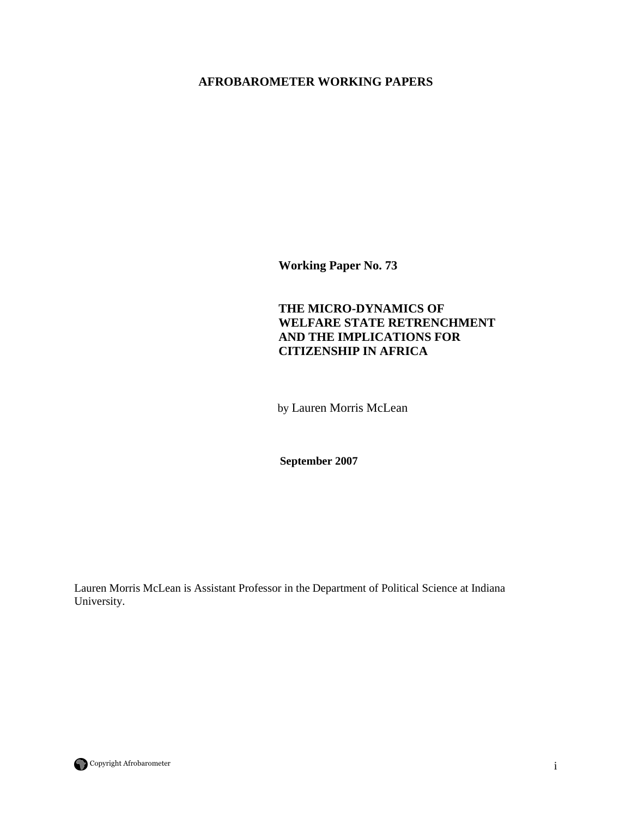# **AFROBAROMETER WORKING PAPERS**

**Working Paper No. 73** 

# **THE MICRO-DYNAMICS OF WELFARE STATE RETRENCHMENT AND THE IMPLICATIONS FOR CITIZENSHIP IN AFRICA**

by Lauren Morris McLean

 **September 2007** 

Lauren Morris McLean is Assistant Professor in the Department of Political Science at Indiana University.

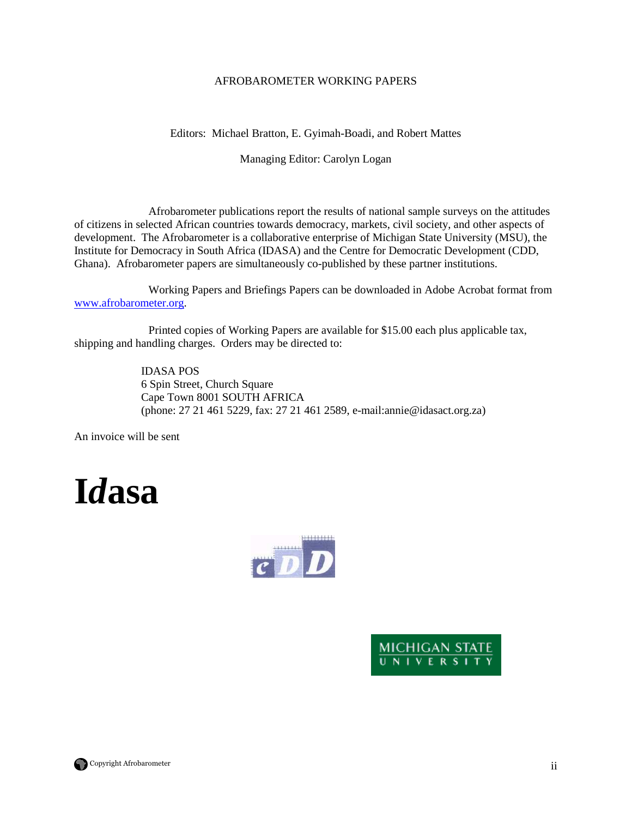## AFROBAROMETER WORKING PAPERS

Editors: Michael Bratton, E. Gyimah-Boadi, and Robert Mattes

Managing Editor: Carolyn Logan

 Afrobarometer publications report the results of national sample surveys on the attitudes of citizens in selected African countries towards democracy, markets, civil society, and other aspects of development. The Afrobarometer is a collaborative enterprise of Michigan State University (MSU), the Institute for Democracy in South Africa (IDASA) and the Centre for Democratic Development (CDD, Ghana). Afrobarometer papers are simultaneously co-published by these partner institutions.

 Working Papers and Briefings Papers can be downloaded in Adobe Acrobat format from www.afrobarometer.org.

 Printed copies of Working Papers are available for \$15.00 each plus applicable tax, shipping and handling charges. Orders may be directed to:

> IDASA POS 6 Spin Street, Church Square Cape Town 8001 SOUTH AFRICA (phone: 27 21 461 5229, fax: 27 21 461 2589, e-mail:annie@idasact.org.za)

An invoice will be sent







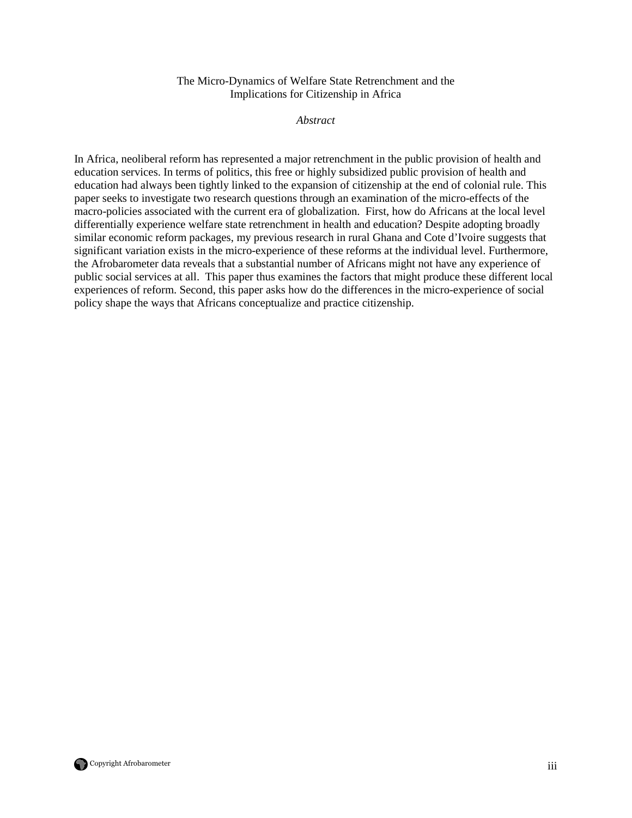### The Micro-Dynamics of Welfare State Retrenchment and the Implications for Citizenship in Africa

*Abstract* 

In Africa, neoliberal reform has represented a major retrenchment in the public provision of health and education services. In terms of politics, this free or highly subsidized public provision of health and education had always been tightly linked to the expansion of citizenship at the end of colonial rule. This paper seeks to investigate two research questions through an examination of the micro-effects of the macro-policies associated with the current era of globalization. First, how do Africans at the local level differentially experience welfare state retrenchment in health and education? Despite adopting broadly similar economic reform packages, my previous research in rural Ghana and Cote d'Ivoire suggests that significant variation exists in the micro-experience of these reforms at the individual level. Furthermore, the Afrobarometer data reveals that a substantial number of Africans might not have any experience of public social services at all. This paper thus examines the factors that might produce these different local experiences of reform. Second, this paper asks how do the differences in the micro-experience of social policy shape the ways that Africans conceptualize and practice citizenship.

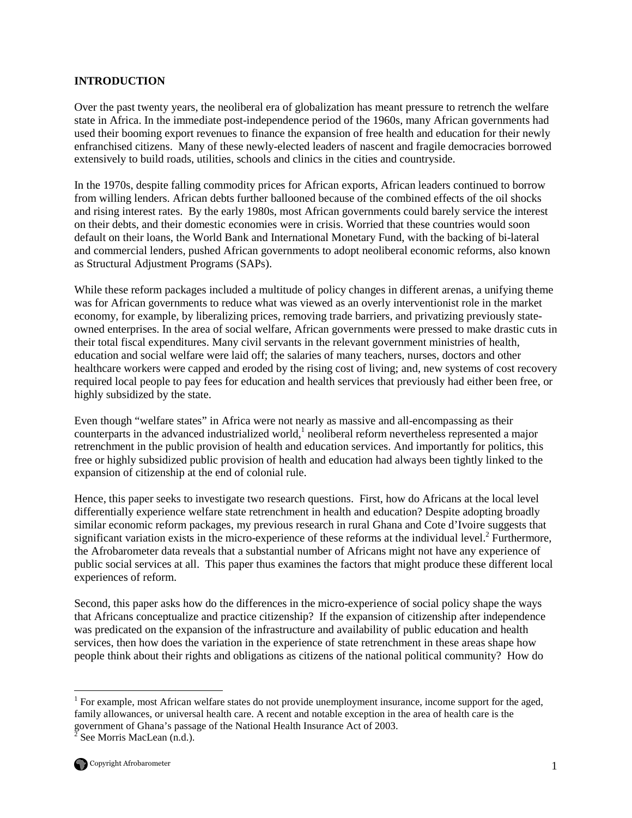#### **INTRODUCTION**

Over the past twenty years, the neoliberal era of globalization has meant pressure to retrench the welfare state in Africa. In the immediate post-independence period of the 1960s, many African governments had used their booming export revenues to finance the expansion of free health and education for their newly enfranchised citizens. Many of these newly-elected leaders of nascent and fragile democracies borrowed extensively to build roads, utilities, schools and clinics in the cities and countryside.

In the 1970s, despite falling commodity prices for African exports, African leaders continued to borrow from willing lenders. African debts further ballooned because of the combined effects of the oil shocks and rising interest rates. By the early 1980s, most African governments could barely service the interest on their debts, and their domestic economies were in crisis. Worried that these countries would soon default on their loans, the World Bank and International Monetary Fund, with the backing of bi-lateral and commercial lenders, pushed African governments to adopt neoliberal economic reforms, also known as Structural Adjustment Programs (SAPs).

While these reform packages included a multitude of policy changes in different arenas, a unifying theme was for African governments to reduce what was viewed as an overly interventionist role in the market economy, for example, by liberalizing prices, removing trade barriers, and privatizing previously stateowned enterprises. In the area of social welfare, African governments were pressed to make drastic cuts in their total fiscal expenditures. Many civil servants in the relevant government ministries of health, education and social welfare were laid off; the salaries of many teachers, nurses, doctors and other healthcare workers were capped and eroded by the rising cost of living; and, new systems of cost recovery required local people to pay fees for education and health services that previously had either been free, or highly subsidized by the state.

Even though "welfare states" in Africa were not nearly as massive and all-encompassing as their counterparts in the advanced industrialized world, $<sup>1</sup>$  neoliberal reform nevertheless represented a major</sup> retrenchment in the public provision of health and education services. And importantly for politics, this free or highly subsidized public provision of health and education had always been tightly linked to the expansion of citizenship at the end of colonial rule.

Hence, this paper seeks to investigate two research questions. First, how do Africans at the local level differentially experience welfare state retrenchment in health and education? Despite adopting broadly similar economic reform packages, my previous research in rural Ghana and Cote d'Ivoire suggests that significant variation exists in the micro-experience of these reforms at the individual level.<sup>2</sup> Furthermore, the Afrobarometer data reveals that a substantial number of Africans might not have any experience of public social services at all. This paper thus examines the factors that might produce these different local experiences of reform.

Second, this paper asks how do the differences in the micro-experience of social policy shape the ways that Africans conceptualize and practice citizenship? If the expansion of citizenship after independence was predicated on the expansion of the infrastructure and availability of public education and health services, then how does the variation in the experience of state retrenchment in these areas shape how people think about their rights and obligations as citizens of the national political community? How do

 $\overline{a}$ 

<sup>&</sup>lt;sup>1</sup> For example, most African welfare states do not provide unemployment insurance, income support for the aged, family allowances, or universal health care. A recent and notable exception in the area of health care is the government of Ghana's passage of the National Health Insurance Act of 2003. 2 See Morris MacLean (n.d.).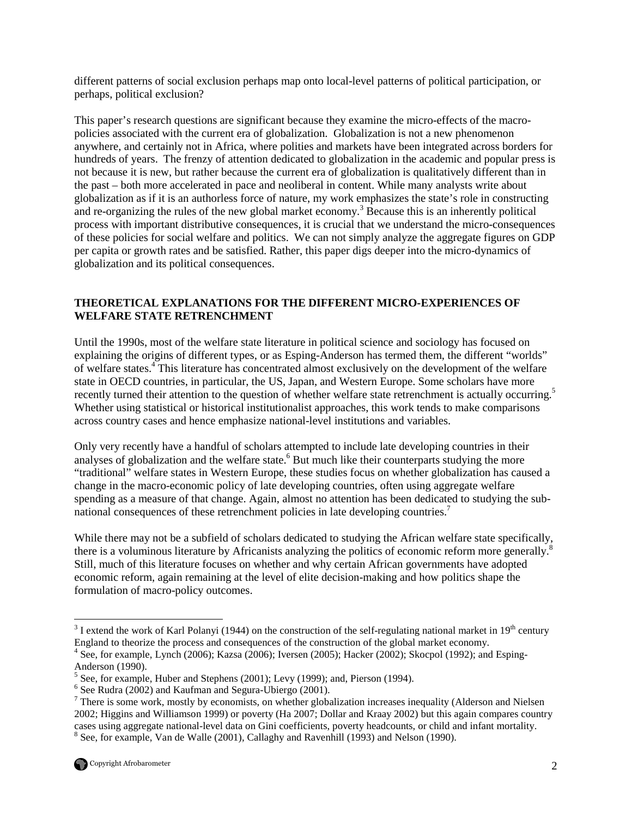different patterns of social exclusion perhaps map onto local-level patterns of political participation, or perhaps, political exclusion?

This paper's research questions are significant because they examine the micro-effects of the macropolicies associated with the current era of globalization. Globalization is not a new phenomenon anywhere, and certainly not in Africa, where polities and markets have been integrated across borders for hundreds of years. The frenzy of attention dedicated to globalization in the academic and popular press is not because it is new, but rather because the current era of globalization is qualitatively different than in the past – both more accelerated in pace and neoliberal in content. While many analysts write about globalization as if it is an authorless force of nature, my work emphasizes the state's role in constructing and re-organizing the rules of the new global market economy.<sup>3</sup> Because this is an inherently political process with important distributive consequences, it is crucial that we understand the micro-consequences of these policies for social welfare and politics. We can not simply analyze the aggregate figures on GDP per capita or growth rates and be satisfied. Rather, this paper digs deeper into the micro-dynamics of globalization and its political consequences.

## **THEORETICAL EXPLANATIONS FOR THE DIFFERENT MICRO-EXPERIENCES OF WELFARE STATE RETRENCHMENT**

Until the 1990s, most of the welfare state literature in political science and sociology has focused on explaining the origins of different types, or as Esping-Anderson has termed them, the different "worlds" of welfare states.<sup>4</sup> This literature has concentrated almost exclusively on the development of the welfare state in OECD countries, in particular, the US, Japan, and Western Europe. Some scholars have more recently turned their attention to the question of whether welfare state retrenchment is actually occurring.<sup>5</sup> Whether using statistical or historical institutionalist approaches, this work tends to make comparisons across country cases and hence emphasize national-level institutions and variables.

Only very recently have a handful of scholars attempted to include late developing countries in their analyses of globalization and the welfare state.<sup>6</sup> But much like their counterparts studying the more "traditional" welfare states in Western Europe, these studies focus on whether globalization has caused a change in the macro-economic policy of late developing countries, often using aggregate welfare spending as a measure of that change. Again, almost no attention has been dedicated to studying the subnational consequences of these retrenchment policies in late developing countries.<sup>7</sup>

While there may not be a subfield of scholars dedicated to studying the African welfare state specifically, there is a voluminous literature by Africanists analyzing the politics of economic reform more generally.<sup>8</sup> Still, much of this literature focuses on whether and why certain African governments have adopted economic reform, again remaining at the level of elite decision-making and how politics shape the formulation of macro-policy outcomes.

<u>.</u>

 $3$  I extend the work of Karl Polanyi (1944) on the construction of the self-regulating national market in 19<sup>th</sup> century England to theorize the process and consequences of the construction of the global market economy.

<sup>&</sup>lt;sup>4</sup> See, for example, Lynch (2006); Kazsa (2006); Iversen (2005); Hacker (2002); Skocpol (1992); and Esping-Anderson (1990).

 $<sup>5</sup>$  See, for example, Huber and Stephens (2001); Levy (1999); and, Pierson (1994).</sup>

<sup>&</sup>lt;sup>6</sup> See Rudra (2002) and Kaufman and Segura-Ubiergo (2001).

<sup>&</sup>lt;sup>7</sup> There is some work, mostly by economists, on whether globalization increases inequality (Alderson and Nielsen 2002; Higgins and Williamson 1999) or poverty (Ha 2007; Dollar and Kraay 2002) but this again compares country cases using aggregate national-level data on Gini coefficients, poverty headcounts, or child and infant mortality. <sup>8</sup> See, for example, Van de Walle (2001), Callaghy and Ravenhill (1993) and Nelson (1990).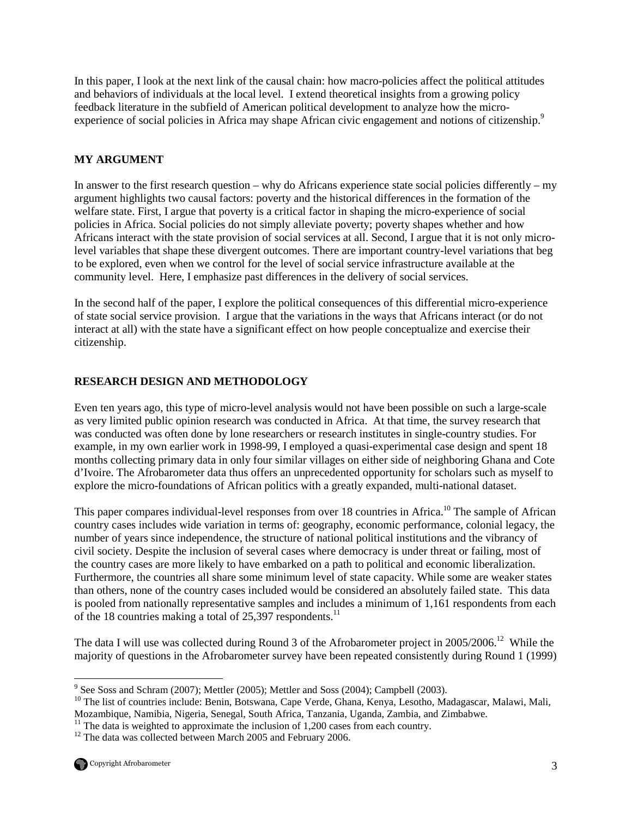In this paper, I look at the next link of the causal chain: how macro-policies affect the political attitudes and behaviors of individuals at the local level. I extend theoretical insights from a growing policy feedback literature in the subfield of American political development to analyze how the microexperience of social policies in Africa may shape African civic engagement and notions of citizenship.<sup>9</sup>

## **MY ARGUMENT**

In answer to the first research question – why do Africans experience state social policies differently – my argument highlights two causal factors: poverty and the historical differences in the formation of the welfare state. First, I argue that poverty is a critical factor in shaping the micro-experience of social policies in Africa. Social policies do not simply alleviate poverty; poverty shapes whether and how Africans interact with the state provision of social services at all. Second, I argue that it is not only microlevel variables that shape these divergent outcomes. There are important country-level variations that beg to be explored, even when we control for the level of social service infrastructure available at the community level. Here, I emphasize past differences in the delivery of social services.

In the second half of the paper, I explore the political consequences of this differential micro-experience of state social service provision. I argue that the variations in the ways that Africans interact (or do not interact at all) with the state have a significant effect on how people conceptualize and exercise their citizenship.

## **RESEARCH DESIGN AND METHODOLOGY**

Even ten years ago, this type of micro-level analysis would not have been possible on such a large-scale as very limited public opinion research was conducted in Africa. At that time, the survey research that was conducted was often done by lone researchers or research institutes in single-country studies. For example, in my own earlier work in 1998-99, I employed a quasi-experimental case design and spent 18 months collecting primary data in only four similar villages on either side of neighboring Ghana and Cote d'Ivoire. The Afrobarometer data thus offers an unprecedented opportunity for scholars such as myself to explore the micro-foundations of African politics with a greatly expanded, multi-national dataset.

This paper compares individual-level responses from over 18 countries in Africa.<sup>10</sup> The sample of African country cases includes wide variation in terms of: geography, economic performance, colonial legacy, the number of years since independence, the structure of national political institutions and the vibrancy of civil society. Despite the inclusion of several cases where democracy is under threat or failing, most of the country cases are more likely to have embarked on a path to political and economic liberalization. Furthermore, the countries all share some minimum level of state capacity. While some are weaker states than others, none of the country cases included would be considered an absolutely failed state. This data is pooled from nationally representative samples and includes a minimum of 1,161 respondents from each of the 18 countries making a total of  $25,397$  respondents.<sup>11</sup>

The data I will use was collected during Round 3 of the Afrobarometer project in 2005/2006.<sup>12</sup> While the majority of questions in the Afrobarometer survey have been repeated consistently during Round 1 (1999)

<sup>9&</sup>lt;br>
<sup>9</sup> See Soss and Schram (2007); Mettler (2005); Mettler and Soss (2004); Campbell (2003).

<sup>&</sup>lt;sup>10</sup> The list of countries include: Benin, Botswana, Cape Verde, Ghana, Kenya, Lesotho, Madagascar, Malawi, Mali, Mozambique, Namibia, Nigeria, Senegal, South Africa, Tanzania, Uganda, Zambia, and Zimbabwe.

 $11$  The data is weighted to approximate the inclusion of 1,200 cases from each country.

 $12$  The data was collected between March 2005 and February 2006.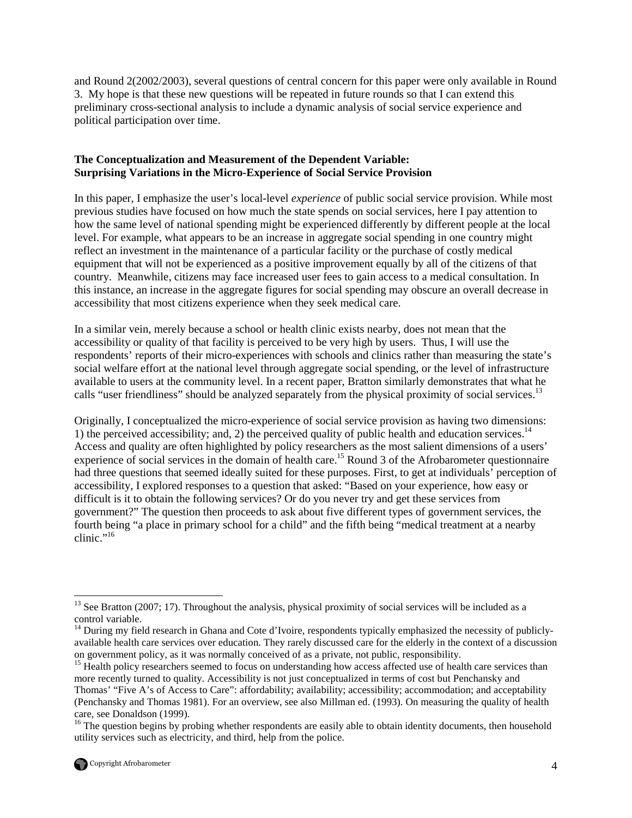and Round 2(2002/2003), several questions of central concern for this paper were only available in Round 3. My hope is that these new questions will be repeated in future rounds so that I can extend this preliminary cross-sectional analysis to include a dynamic analysis of social service experience and political participation over time.

## **The Conceptualization and Measurement of the Dependent Variable: Surprising Variations in the Micro-Experience of Social Service Provision**

In this paper, I emphasize the user's local-level *experience* of public social service provision. While most previous studies have focused on how much the state spends on social services, here I pay attention to how the same level of national spending might be experienced differently by different people at the local level. For example, what appears to be an increase in aggregate social spending in one country might reflect an investment in the maintenance of a particular facility or the purchase of costly medical equipment that will not be experienced as a positive improvement equally by all of the citizens of that country. Meanwhile, citizens may face increased user fees to gain access to a medical consultation. In this instance, an increase in the aggregate figures for social spending may obscure an overall decrease in accessibility that most citizens experience when they seek medical care.

In a similar vein, merely because a school or health clinic exists nearby, does not mean that the accessibility or quality of that facility is perceived to be very high by users. Thus, I will use the respondents' reports of their micro-experiences with schools and clinics rather than measuring the state's social welfare effort at the national level through aggregate social spending, or the level of infrastructure available to users at the community level. In a recent paper, Bratton similarly demonstrates that what he calls "user friendliness" should be analyzed separately from the physical proximity of social services.<sup>13</sup>

Originally, I conceptualized the micro-experience of social service provision as having two dimensions: 1) the perceived accessibility; and, 2) the perceived quality of public health and education services.<sup>14</sup> Access and quality are often highlighted by policy researchers as the most salient dimensions of a users' experience of social services in the domain of health care.<sup>15</sup> Round 3 of the Afrobarometer questionnaire had three questions that seemed ideally suited for these purposes. First, to get at individuals' perception of accessibility, I explored responses to a question that asked: "Based on your experience, how easy or difficult is it to obtain the following services? Or do you never try and get these services from government?" The question then proceeds to ask about five different types of government services, the fourth being "a place in primary school for a child" and the fifth being "medical treatment at a nearby clinic."<sup>16</sup>

<sup>&</sup>lt;sup>16</sup> The question begins by probing whether respondents are easily able to obtain identity documents, then household utility services such as electricity, and third, help from the police.



<sup>&</sup>lt;u>.</u>  $13$  See Bratton (2007; 17). Throughout the analysis, physical proximity of social services will be included as a control variable.

 $14$  During my field research in Ghana and Cote d'Ivoire, respondents typically emphasized the necessity of publiclyavailable health care services over education. They rarely discussed care for the elderly in the context of a discussion on government policy, as it was normally conceived of as a private, not public, responsibility.

<sup>&</sup>lt;sup>15</sup> Health policy researchers seemed to focus on understanding how access affected use of health care services than more recently turned to quality. Accessibility is not just conceptualized in terms of cost but Penchansky and Thomas' "Five A's of Access to Care": affordability; availability; accessibility; accommodation; and acceptability (Penchansky and Thomas 1981). For an overview, see also Millman ed. (1993). On measuring the quality of health care, see Donaldson (1999).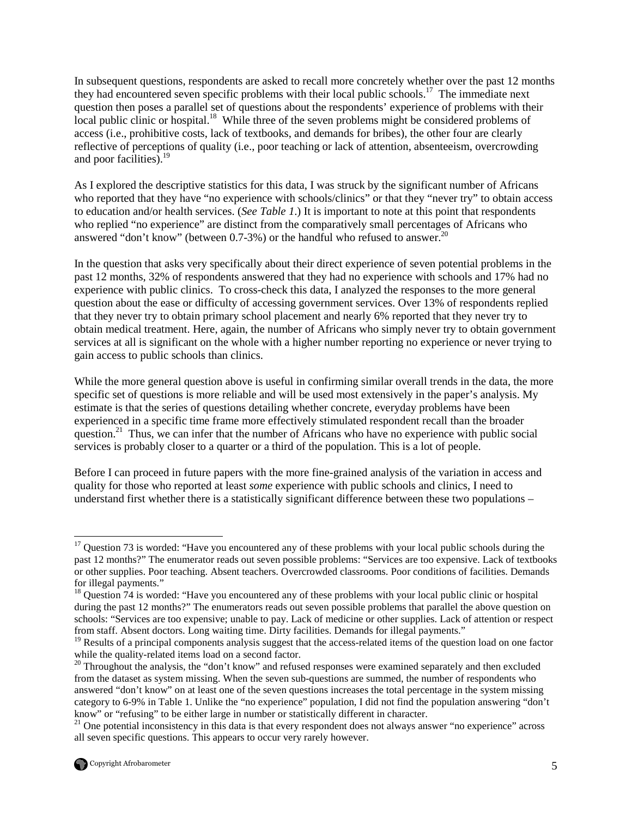In subsequent questions, respondents are asked to recall more concretely whether over the past 12 months they had encountered seven specific problems with their local public schools.<sup>17</sup> The immediate next question then poses a parallel set of questions about the respondents' experience of problems with their local public clinic or hospital.<sup>18</sup> While three of the seven problems might be considered problems of access (i.e., prohibitive costs, lack of textbooks, and demands for bribes), the other four are clearly reflective of perceptions of quality (i.e., poor teaching or lack of attention, absenteeism, overcrowding and poor facilities).<sup>19</sup>

As I explored the descriptive statistics for this data, I was struck by the significant number of Africans who reported that they have "no experience with schools/clinics" or that they "never try" to obtain access to education and/or health services. (*See Table 1*.) It is important to note at this point that respondents who replied "no experience" are distinct from the comparatively small percentages of Africans who answered "don't know" (between 0.7-3%) or the handful who refused to answer.<sup>20</sup>

In the question that asks very specifically about their direct experience of seven potential problems in the past 12 months, 32% of respondents answered that they had no experience with schools and 17% had no experience with public clinics. To cross-check this data, I analyzed the responses to the more general question about the ease or difficulty of accessing government services. Over 13% of respondents replied that they never try to obtain primary school placement and nearly 6% reported that they never try to obtain medical treatment. Here, again, the number of Africans who simply never try to obtain government services at all is significant on the whole with a higher number reporting no experience or never trying to gain access to public schools than clinics.

While the more general question above is useful in confirming similar overall trends in the data, the more specific set of questions is more reliable and will be used most extensively in the paper's analysis. My estimate is that the series of questions detailing whether concrete, everyday problems have been experienced in a specific time frame more effectively stimulated respondent recall than the broader question.<sup>21</sup> Thus, we can infer that the number of Africans who have no experience with public social services is probably closer to a quarter or a third of the population. This is a lot of people.

Before I can proceed in future papers with the more fine-grained analysis of the variation in access and quality for those who reported at least *some* experience with public schools and clinics, I need to understand first whether there is a statistically significant difference between these two populations –

 $21$  One potential inconsistency in this data is that every respondent does not always answer "no experience" across all seven specific questions. This appears to occur very rarely however.



 $\overline{a}$ 

 $17$  Question 73 is worded: "Have you encountered any of these problems with your local public schools during the past 12 months?" The enumerator reads out seven possible problems: "Services are too expensive. Lack of textbooks or other supplies. Poor teaching. Absent teachers. Overcrowded classrooms. Poor conditions of facilities. Demands for illegal payments."

<sup>&</sup>lt;sup>18</sup> Question 74 is worded: "Have you encountered any of these problems with your local public clinic or hospital during the past 12 months?" The enumerators reads out seven possible problems that parallel the above question on schools: "Services are too expensive; unable to pay. Lack of medicine or other supplies. Lack of attention or respect from staff. Absent doctors. Long waiting time. Dirty facilities. Demands for illegal payments."

<sup>&</sup>lt;sup>19</sup> Results of a principal components analysis suggest that the access-related items of the question load on one factor while the quality-related items load on a second factor.

<sup>&</sup>lt;sup>20</sup> Throughout the analysis, the "don't know" and refused responses were examined separately and then excluded from the dataset as system missing. When the seven sub-questions are summed, the number of respondents who answered "don't know" on at least one of the seven questions increases the total percentage in the system missing category to 6-9% in Table 1. Unlike the "no experience" population, I did not find the population answering "don't know" or "refusing" to be either large in number or statistically different in character.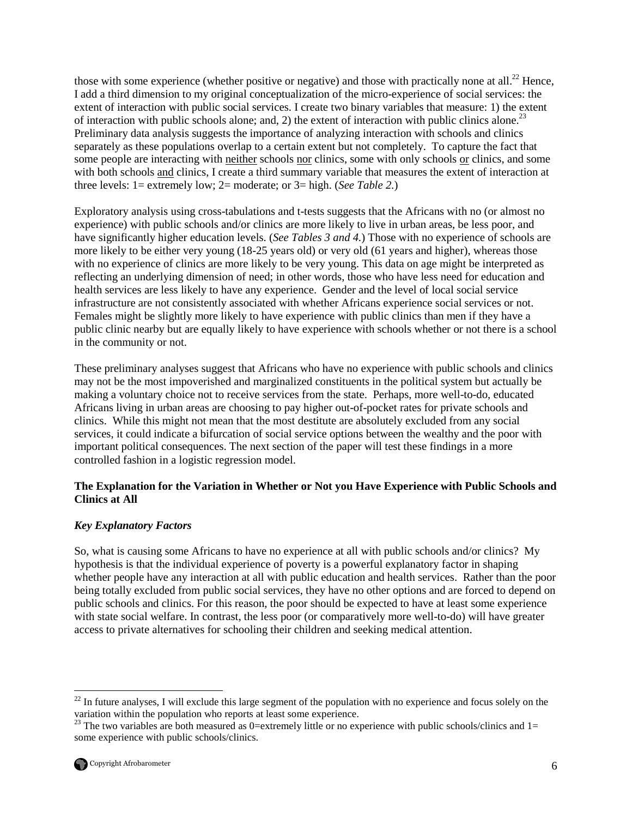those with some experience (whether positive or negative) and those with practically none at all.<sup>22</sup> Hence, I add a third dimension to my original conceptualization of the micro-experience of social services: the extent of interaction with public social services. I create two binary variables that measure: 1) the extent of interaction with public schools alone; and, 2) the extent of interaction with public clinics alone.<sup>23</sup> Preliminary data analysis suggests the importance of analyzing interaction with schools and clinics separately as these populations overlap to a certain extent but not completely. To capture the fact that some people are interacting with neither schools nor clinics, some with only schools or clinics, and some with both schools and clinics, I create a third summary variable that measures the extent of interaction at three levels: 1= extremely low; 2= moderate; or 3= high. (*See Table 2.*)

Exploratory analysis using cross-tabulations and t-tests suggests that the Africans with no (or almost no experience) with public schools and/or clinics are more likely to live in urban areas, be less poor, and have significantly higher education levels. (*See Tables 3 and 4.*) Those with no experience of schools are more likely to be either very young (18-25 years old) or very old (61 years and higher), whereas those with no experience of clinics are more likely to be very young. This data on age might be interpreted as reflecting an underlying dimension of need; in other words, those who have less need for education and health services are less likely to have any experience. Gender and the level of local social service infrastructure are not consistently associated with whether Africans experience social services or not. Females might be slightly more likely to have experience with public clinics than men if they have a public clinic nearby but are equally likely to have experience with schools whether or not there is a school in the community or not.

These preliminary analyses suggest that Africans who have no experience with public schools and clinics may not be the most impoverished and marginalized constituents in the political system but actually be making a voluntary choice not to receive services from the state. Perhaps, more well-to-do, educated Africans living in urban areas are choosing to pay higher out-of-pocket rates for private schools and clinics. While this might not mean that the most destitute are absolutely excluded from any social services, it could indicate a bifurcation of social service options between the wealthy and the poor with important political consequences. The next section of the paper will test these findings in a more controlled fashion in a logistic regression model.

## **The Explanation for the Variation in Whether or Not you Have Experience with Public Schools and Clinics at All**

## *Key Explanatory Factors*

So, what is causing some Africans to have no experience at all with public schools and/or clinics? My hypothesis is that the individual experience of poverty is a powerful explanatory factor in shaping whether people have any interaction at all with public education and health services. Rather than the poor being totally excluded from public social services, they have no other options and are forced to depend on public schools and clinics. For this reason, the poor should be expected to have at least some experience with state social welfare. In contrast, the less poor (or comparatively more well-to-do) will have greater access to private alternatives for schooling their children and seeking medical attention.

 $\overline{a}$ 

 $^{22}$  In future analyses, I will exclude this large segment of the population with no experience and focus solely on the variation within the population who reports at least some experience.

<sup>&</sup>lt;sup>23</sup> The two variables are both measured as 0=extremely little or no experience with public schools/clinics and 1= some experience with public schools/clinics.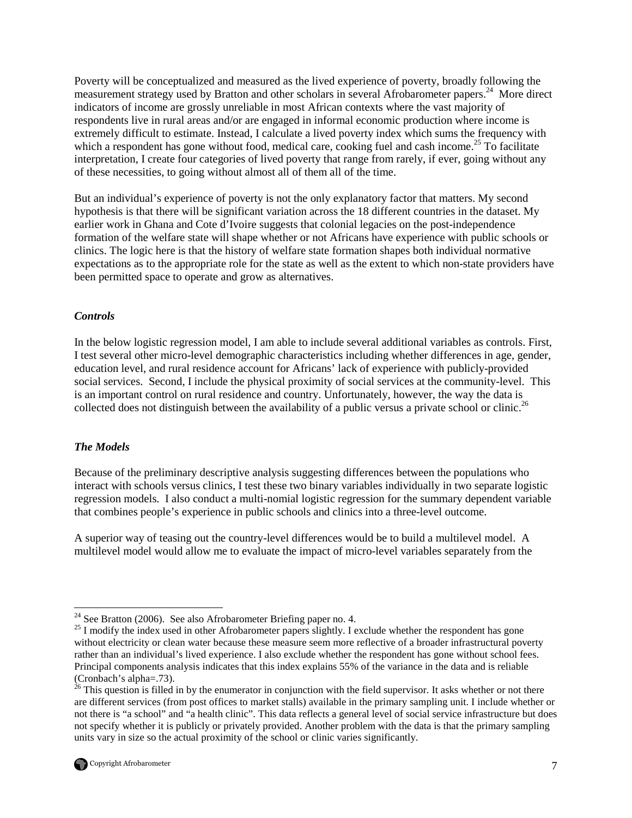Poverty will be conceptualized and measured as the lived experience of poverty, broadly following the measurement strategy used by Bratton and other scholars in several Afrobarometer papers.<sup>24</sup> More direct indicators of income are grossly unreliable in most African contexts where the vast majority of respondents live in rural areas and/or are engaged in informal economic production where income is extremely difficult to estimate. Instead, I calculate a lived poverty index which sums the frequency with which a respondent has gone without food, medical care, cooking fuel and cash income.<sup>25</sup> To facilitate interpretation, I create four categories of lived poverty that range from rarely, if ever, going without any of these necessities, to going without almost all of them all of the time.

But an individual's experience of poverty is not the only explanatory factor that matters. My second hypothesis is that there will be significant variation across the 18 different countries in the dataset. My earlier work in Ghana and Cote d'Ivoire suggests that colonial legacies on the post-independence formation of the welfare state will shape whether or not Africans have experience with public schools or clinics. The logic here is that the history of welfare state formation shapes both individual normative expectations as to the appropriate role for the state as well as the extent to which non-state providers have been permitted space to operate and grow as alternatives.

### *Controls*

In the below logistic regression model, I am able to include several additional variables as controls. First, I test several other micro-level demographic characteristics including whether differences in age, gender, education level, and rural residence account for Africans' lack of experience with publicly-provided social services. Second, I include the physical proximity of social services at the community-level. This is an important control on rural residence and country. Unfortunately, however, the way the data is collected does not distinguish between the availability of a public versus a private school or clinic.<sup>26</sup>

## *The Models*

Because of the preliminary descriptive analysis suggesting differences between the populations who interact with schools versus clinics, I test these two binary variables individually in two separate logistic regression models. I also conduct a multi-nomial logistic regression for the summary dependent variable that combines people's experience in public schools and clinics into a three-level outcome.

A superior way of teasing out the country-level differences would be to build a multilevel model. A multilevel model would allow me to evaluate the impact of micro-level variables separately from the

 $26$  This question is filled in by the enumerator in conjunction with the field supervisor. It asks whether or not there are different services (from post offices to market stalls) available in the primary sampling unit. I include whether or not there is "a school" and "a health clinic". This data reflects a general level of social service infrastructure but does not specify whether it is publicly or privately provided. Another problem with the data is that the primary sampling units vary in size so the actual proximity of the school or clinic varies significantly.



<sup>-</sup> $24$  See Bratton (2006). See also Afrobarometer Briefing paper no. 4.

<sup>&</sup>lt;sup>25</sup> I modify the index used in other Afrobarometer papers slightly. I exclude whether the respondent has gone without electricity or clean water because these measure seem more reflective of a broader infrastructural poverty rather than an individual's lived experience. I also exclude whether the respondent has gone without school fees. Principal components analysis indicates that this index explains 55% of the variance in the data and is reliable (Cronbach's alpha=.73).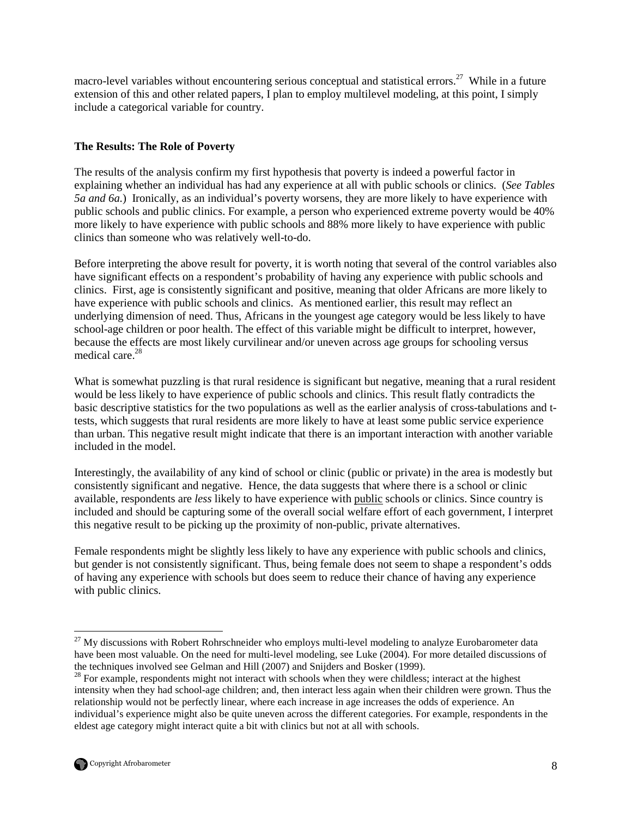macro-level variables without encountering serious conceptual and statistical errors.<sup>27</sup> While in a future extension of this and other related papers, I plan to employ multilevel modeling, at this point, I simply include a categorical variable for country.

## **The Results: The Role of Poverty**

The results of the analysis confirm my first hypothesis that poverty is indeed a powerful factor in explaining whether an individual has had any experience at all with public schools or clinics. (*See Tables 5a and 6a.*) Ironically, as an individual's poverty worsens, they are more likely to have experience with public schools and public clinics. For example, a person who experienced extreme poverty would be 40% more likely to have experience with public schools and 88% more likely to have experience with public clinics than someone who was relatively well-to-do.

Before interpreting the above result for poverty, it is worth noting that several of the control variables also have significant effects on a respondent's probability of having any experience with public schools and clinics. First, age is consistently significant and positive, meaning that older Africans are more likely to have experience with public schools and clinics. As mentioned earlier, this result may reflect an underlying dimension of need. Thus, Africans in the youngest age category would be less likely to have school-age children or poor health. The effect of this variable might be difficult to interpret, however, because the effects are most likely curvilinear and/or uneven across age groups for schooling versus medical care.<sup>28</sup>

What is somewhat puzzling is that rural residence is significant but negative, meaning that a rural resident would be less likely to have experience of public schools and clinics. This result flatly contradicts the basic descriptive statistics for the two populations as well as the earlier analysis of cross-tabulations and ttests, which suggests that rural residents are more likely to have at least some public service experience than urban. This negative result might indicate that there is an important interaction with another variable included in the model.

Interestingly, the availability of any kind of school or clinic (public or private) in the area is modestly but consistently significant and negative. Hence, the data suggests that where there is a school or clinic available, respondents are *less* likely to have experience with public schools or clinics. Since country is included and should be capturing some of the overall social welfare effort of each government, I interpret this negative result to be picking up the proximity of non-public, private alternatives.

Female respondents might be slightly less likely to have any experience with public schools and clinics, but gender is not consistently significant. Thus, being female does not seem to shape a respondent's odds of having any experience with schools but does seem to reduce their chance of having any experience with public clinics.

<sup>&</sup>lt;sup>28</sup> For example, respondents might not interact with schools when they were childless; interact at the highest intensity when they had school-age children; and, then interact less again when their children were grown. Thus the relationship would not be perfectly linear, where each increase in age increases the odds of experience. An individual's experience might also be quite uneven across the different categories. For example, respondents in the eldest age category might interact quite a bit with clinics but not at all with schools.



-

<sup>&</sup>lt;sup>27</sup> My discussions with Robert Rohrschneider who employs multi-level modeling to analyze Eurobarometer data have been most valuable. On the need for multi-level modeling, see Luke (2004). For more detailed discussions of the techniques involved see Gelman and Hill (2007) and Snijders and Bosker (1999).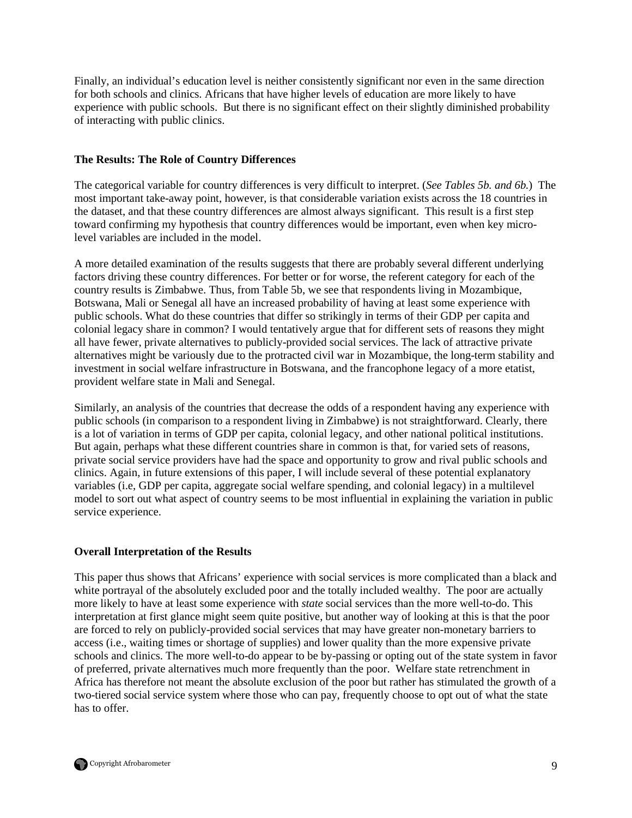Finally, an individual's education level is neither consistently significant nor even in the same direction for both schools and clinics. Africans that have higher levels of education are more likely to have experience with public schools. But there is no significant effect on their slightly diminished probability of interacting with public clinics.

## **The Results: The Role of Country Differences**

The categorical variable for country differences is very difficult to interpret. (*See Tables 5b. and 6b.*) The most important take-away point, however, is that considerable variation exists across the 18 countries in the dataset, and that these country differences are almost always significant. This result is a first step toward confirming my hypothesis that country differences would be important, even when key microlevel variables are included in the model.

A more detailed examination of the results suggests that there are probably several different underlying factors driving these country differences. For better or for worse, the referent category for each of the country results is Zimbabwe. Thus, from Table 5b, we see that respondents living in Mozambique, Botswana, Mali or Senegal all have an increased probability of having at least some experience with public schools. What do these countries that differ so strikingly in terms of their GDP per capita and colonial legacy share in common? I would tentatively argue that for different sets of reasons they might all have fewer, private alternatives to publicly-provided social services. The lack of attractive private alternatives might be variously due to the protracted civil war in Mozambique, the long-term stability and investment in social welfare infrastructure in Botswana, and the francophone legacy of a more etatist, provident welfare state in Mali and Senegal.

Similarly, an analysis of the countries that decrease the odds of a respondent having any experience with public schools (in comparison to a respondent living in Zimbabwe) is not straightforward. Clearly, there is a lot of variation in terms of GDP per capita, colonial legacy, and other national political institutions. But again, perhaps what these different countries share in common is that, for varied sets of reasons, private social service providers have had the space and opportunity to grow and rival public schools and clinics. Again, in future extensions of this paper, I will include several of these potential explanatory variables (i.e, GDP per capita, aggregate social welfare spending, and colonial legacy) in a multilevel model to sort out what aspect of country seems to be most influential in explaining the variation in public service experience.

### **Overall Interpretation of the Results**

This paper thus shows that Africans' experience with social services is more complicated than a black and white portrayal of the absolutely excluded poor and the totally included wealthy. The poor are actually more likely to have at least some experience with *state* social services than the more well-to-do. This interpretation at first glance might seem quite positive, but another way of looking at this is that the poor are forced to rely on publicly-provided social services that may have greater non-monetary barriers to access (i.e., waiting times or shortage of supplies) and lower quality than the more expensive private schools and clinics. The more well-to-do appear to be by-passing or opting out of the state system in favor of preferred, private alternatives much more frequently than the poor. Welfare state retrenchment in Africa has therefore not meant the absolute exclusion of the poor but rather has stimulated the growth of a two-tiered social service system where those who can pay, frequently choose to opt out of what the state has to offer.

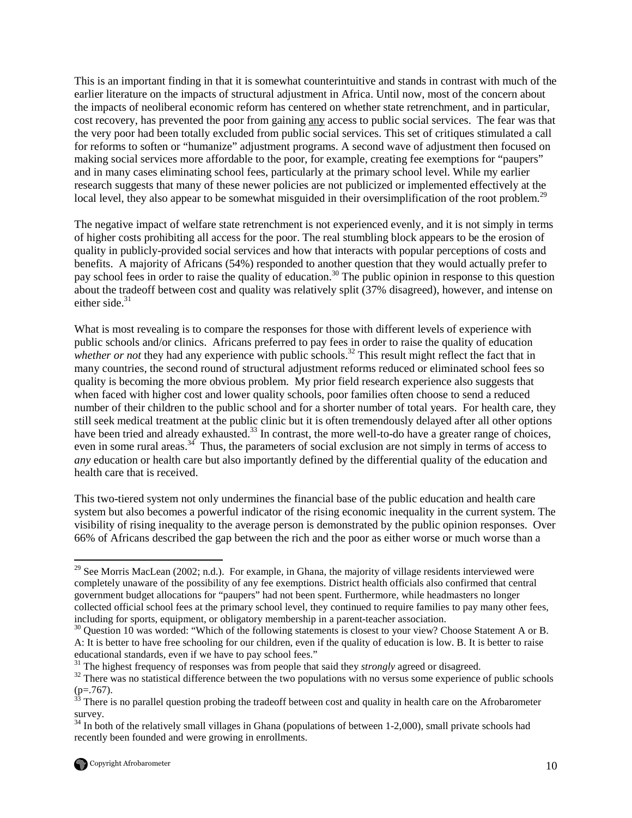This is an important finding in that it is somewhat counterintuitive and stands in contrast with much of the earlier literature on the impacts of structural adjustment in Africa. Until now, most of the concern about the impacts of neoliberal economic reform has centered on whether state retrenchment, and in particular, cost recovery, has prevented the poor from gaining any access to public social services. The fear was that the very poor had been totally excluded from public social services. This set of critiques stimulated a call for reforms to soften or "humanize" adjustment programs. A second wave of adjustment then focused on making social services more affordable to the poor, for example, creating fee exemptions for "paupers" and in many cases eliminating school fees, particularly at the primary school level. While my earlier research suggests that many of these newer policies are not publicized or implemented effectively at the local level, they also appear to be somewhat misguided in their oversimplification of the root problem.<sup>29</sup>

The negative impact of welfare state retrenchment is not experienced evenly, and it is not simply in terms of higher costs prohibiting all access for the poor. The real stumbling block appears to be the erosion of quality in publicly-provided social services and how that interacts with popular perceptions of costs and benefits. A majority of Africans (54%) responded to another question that they would actually prefer to pay school fees in order to raise the quality of education.<sup>30</sup> The public opinion in response to this question about the tradeoff between cost and quality was relatively split (37% disagreed), however, and intense on either side. $31$ 

What is most revealing is to compare the responses for those with different levels of experience with public schools and/or clinics. Africans preferred to pay fees in order to raise the quality of education *whether or not* they had any experience with public schools.<sup>32</sup> This result might reflect the fact that in many countries, the second round of structural adjustment reforms reduced or eliminated school fees so quality is becoming the more obvious problem. My prior field research experience also suggests that when faced with higher cost and lower quality schools, poor families often choose to send a reduced number of their children to the public school and for a shorter number of total years. For health care, they still seek medical treatment at the public clinic but it is often tremendously delayed after all other options have been tried and already exhausted.<sup>33</sup> In contrast, the more well-to-do have a greater range of choices, even in some rural areas.<sup>34</sup> Thus, the parameters of social exclusion are not simply in terms of access to *any* education or health care but also importantly defined by the differential quality of the education and health care that is received.

This two-tiered system not only undermines the financial base of the public education and health care system but also becomes a powerful indicator of the rising economic inequality in the current system. The visibility of rising inequality to the average person is demonstrated by the public opinion responses. Over 66% of Africans described the gap between the rich and the poor as either worse or much worse than a

 $\overline{a}$ <sup>29</sup> See Morris MacLean (2002; n.d.). For example, in Ghana, the majority of village residents interviewed were completely unaware of the possibility of any fee exemptions. District health officials also confirmed that central government budget allocations for "paupers" had not been spent. Furthermore, while headmasters no longer collected official school fees at the primary school level, they continued to require families to pay many other fees, including for sports, equipment, or obligatory membership in a parent-teacher association.

<sup>&</sup>lt;sup>30</sup> Question 10 was worded: "Which of the following statements is closest to your view? Choose Statement A or B. A: It is better to have free schooling for our children, even if the quality of education is low. B. It is better to raise educational standards, even if we have to pay school fees."

<sup>&</sup>lt;sup>31</sup> The highest frequency of responses was from people that said they *strongly* agreed or disagreed.

<sup>&</sup>lt;sup>32</sup> There was no statistical difference between the two populations with no versus some experience of public schools  $(p=.767)$ .

<sup>&</sup>lt;sup>33</sup> There is no parallel question probing the tradeoff between cost and quality in health care on the Afrobarometer survey.

 $34$  In both of the relatively small villages in Ghana (populations of between 1-2,000), small private schools had recently been founded and were growing in enrollments.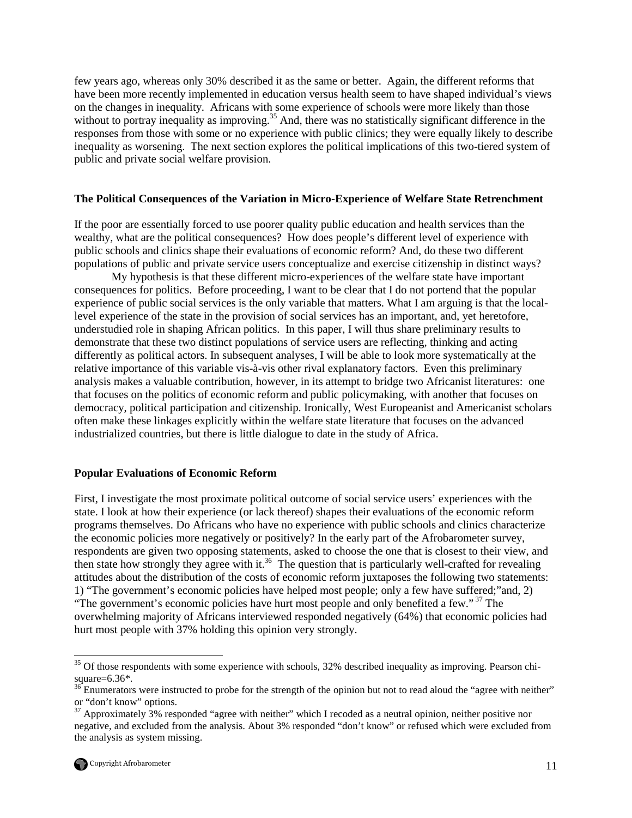few years ago, whereas only 30% described it as the same or better. Again, the different reforms that have been more recently implemented in education versus health seem to have shaped individual's views on the changes in inequality. Africans with some experience of schools were more likely than those without to portray inequality as improving.<sup>35</sup> And, there was no statistically significant difference in the responses from those with some or no experience with public clinics; they were equally likely to describe inequality as worsening. The next section explores the political implications of this two-tiered system of public and private social welfare provision.

#### **The Political Consequences of the Variation in Micro-Experience of Welfare State Retrenchment**

If the poor are essentially forced to use poorer quality public education and health services than the wealthy, what are the political consequences? How does people's different level of experience with public schools and clinics shape their evaluations of economic reform? And, do these two different populations of public and private service users conceptualize and exercise citizenship in distinct ways?

My hypothesis is that these different micro-experiences of the welfare state have important consequences for politics. Before proceeding, I want to be clear that I do not portend that the popular experience of public social services is the only variable that matters. What I am arguing is that the locallevel experience of the state in the provision of social services has an important, and, yet heretofore, understudied role in shaping African politics. In this paper, I will thus share preliminary results to demonstrate that these two distinct populations of service users are reflecting, thinking and acting differently as political actors. In subsequent analyses, I will be able to look more systematically at the relative importance of this variable vis-à-vis other rival explanatory factors. Even this preliminary analysis makes a valuable contribution, however, in its attempt to bridge two Africanist literatures: one that focuses on the politics of economic reform and public policymaking, with another that focuses on democracy, political participation and citizenship. Ironically, West Europeanist and Americanist scholars often make these linkages explicitly within the welfare state literature that focuses on the advanced industrialized countries, but there is little dialogue to date in the study of Africa.

#### **Popular Evaluations of Economic Reform**

First, I investigate the most proximate political outcome of social service users' experiences with the state. I look at how their experience (or lack thereof) shapes their evaluations of the economic reform programs themselves. Do Africans who have no experience with public schools and clinics characterize the economic policies more negatively or positively? In the early part of the Afrobarometer survey, respondents are given two opposing statements, asked to choose the one that is closest to their view, and then state how strongly they agree with it.<sup>36</sup> The question that is particularly well-crafted for revealing attitudes about the distribution of the costs of economic reform juxtaposes the following two statements: 1) "The government's economic policies have helped most people; only a few have suffered;"and, 2) "The government's economic policies have hurt most people and only benefited a few."<sup>37</sup> The overwhelming majority of Africans interviewed responded negatively (64%) that economic policies had hurt most people with 37% holding this opinion very strongly.

 $37$  Approximately 3% responded "agree with neither" which I recoded as a neutral opinion, neither positive nor negative, and excluded from the analysis. About 3% responded "don't know" or refused which were excluded from the analysis as system missing.



<u>.</u>

 $35$  Of those respondents with some experience with schools, 32% described inequality as improving. Pearson chisquare= $6.36$ \*.

<sup>&</sup>lt;sup>36</sup> Enumerators were instructed to probe for the strength of the opinion but not to read aloud the "agree with neither" or "don't know" options.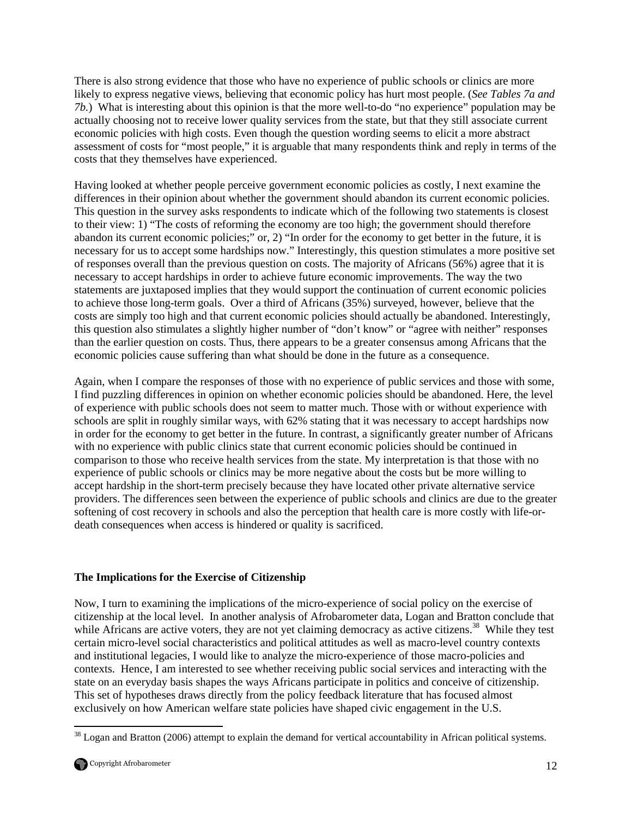There is also strong evidence that those who have no experience of public schools or clinics are more likely to express negative views, believing that economic policy has hurt most people. (*See Tables 7a and 7b.*) What is interesting about this opinion is that the more well-to-do "no experience" population may be actually choosing not to receive lower quality services from the state, but that they still associate current economic policies with high costs. Even though the question wording seems to elicit a more abstract assessment of costs for "most people," it is arguable that many respondents think and reply in terms of the costs that they themselves have experienced.

Having looked at whether people perceive government economic policies as costly, I next examine the differences in their opinion about whether the government should abandon its current economic policies. This question in the survey asks respondents to indicate which of the following two statements is closest to their view: 1) "The costs of reforming the economy are too high; the government should therefore abandon its current economic policies;" or, 2) "In order for the economy to get better in the future, it is necessary for us to accept some hardships now." Interestingly, this question stimulates a more positive set of responses overall than the previous question on costs. The majority of Africans (56%) agree that it is necessary to accept hardships in order to achieve future economic improvements. The way the two statements are juxtaposed implies that they would support the continuation of current economic policies to achieve those long-term goals. Over a third of Africans (35%) surveyed, however, believe that the costs are simply too high and that current economic policies should actually be abandoned. Interestingly, this question also stimulates a slightly higher number of "don't know" or "agree with neither" responses than the earlier question on costs. Thus, there appears to be a greater consensus among Africans that the economic policies cause suffering than what should be done in the future as a consequence.

Again, when I compare the responses of those with no experience of public services and those with some, I find puzzling differences in opinion on whether economic policies should be abandoned. Here, the level of experience with public schools does not seem to matter much. Those with or without experience with schools are split in roughly similar ways, with 62% stating that it was necessary to accept hardships now in order for the economy to get better in the future. In contrast, a significantly greater number of Africans with no experience with public clinics state that current economic policies should be continued in comparison to those who receive health services from the state. My interpretation is that those with no experience of public schools or clinics may be more negative about the costs but be more willing to accept hardship in the short-term precisely because they have located other private alternative service providers. The differences seen between the experience of public schools and clinics are due to the greater softening of cost recovery in schools and also the perception that health care is more costly with life-ordeath consequences when access is hindered or quality is sacrificed.

## **The Implications for the Exercise of Citizenship**

Now, I turn to examining the implications of the micro-experience of social policy on the exercise of citizenship at the local level. In another analysis of Afrobarometer data, Logan and Bratton conclude that while Africans are active voters, they are not yet claiming democracy as active citizens.<sup>38</sup> While they test certain micro-level social characteristics and political attitudes as well as macro-level country contexts and institutional legacies, I would like to analyze the micro-experience of those macro-policies and contexts. Hence, I am interested to see whether receiving public social services and interacting with the state on an everyday basis shapes the ways Africans participate in politics and conceive of citizenship. This set of hypotheses draws directly from the policy feedback literature that has focused almost exclusively on how American welfare state policies have shaped civic engagement in the U.S.

<sup>&</sup>lt;u>.</u> <sup>38</sup> Logan and Bratton (2006) attempt to explain the demand for vertical accountability in African political systems.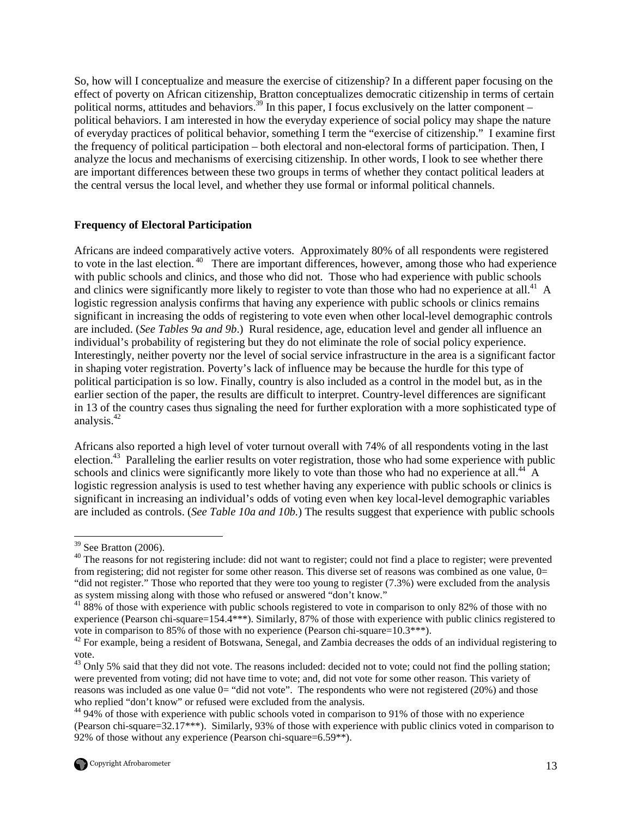So, how will I conceptualize and measure the exercise of citizenship? In a different paper focusing on the effect of poverty on African citizenship, Bratton conceptualizes democratic citizenship in terms of certain political norms, attitudes and behaviors.<sup>39</sup> In this paper, I focus exclusively on the latter component – political behaviors. I am interested in how the everyday experience of social policy may shape the nature of everyday practices of political behavior, something I term the "exercise of citizenship." I examine first the frequency of political participation – both electoral and non-electoral forms of participation. Then, I analyze the locus and mechanisms of exercising citizenship. In other words, I look to see whether there are important differences between these two groups in terms of whether they contact political leaders at the central versus the local level, and whether they use formal or informal political channels.

### **Frequency of Electoral Participation**

Africans are indeed comparatively active voters. Approximately 80% of all respondents were registered to vote in the last election.<sup>40</sup> There are important differences, however, among those who had experience with public schools and clinics, and those who did not. Those who had experience with public schools and clinics were significantly more likely to register to vote than those who had no experience at all.<sup>41</sup> A logistic regression analysis confirms that having any experience with public schools or clinics remains significant in increasing the odds of registering to vote even when other local-level demographic controls are included. (*See Tables 9a and 9b*.) Rural residence, age, education level and gender all influence an individual's probability of registering but they do not eliminate the role of social policy experience. Interestingly, neither poverty nor the level of social service infrastructure in the area is a significant factor in shaping voter registration. Poverty's lack of influence may be because the hurdle for this type of political participation is so low. Finally, country is also included as a control in the model but, as in the earlier section of the paper, the results are difficult to interpret. Country-level differences are significant in 13 of the country cases thus signaling the need for further exploration with a more sophisticated type of analysis.<sup>42</sup>

Africans also reported a high level of voter turnout overall with 74% of all respondents voting in the last election.<sup>43</sup> Paralleling the earlier results on voter registration, those who had some experience with public schools and clinics were significantly more likely to vote than those who had no experience at all.<sup>44</sup> A logistic regression analysis is used to test whether having any experience with public schools or clinics is significant in increasing an individual's odds of voting even when key local-level demographic variables are included as controls. (*See Table 10a and 10b.*) The results suggest that experience with public schools

-

 $39$  See Bratton (2006).

<sup>&</sup>lt;sup>40</sup> The reasons for not registering include: did not want to register; could not find a place to register; were prevented from registering; did not register for some other reason. This diverse set of reasons was combined as one value, 0= "did not register." Those who reported that they were too young to register (7.3%) were excluded from the analysis as system missing along with those who refused or answered "don't know."

<sup>&</sup>lt;sup>41</sup> 88% of those with experience with public schools registered to vote in comparison to only 82% of those with no experience (Pearson chi-square=154.4\*\*\*). Similarly, 87% of those with experience with public clinics registered to vote in comparison to 85% of those with no experience (Pearson chi-square=10.3\*\*\*).

<sup>&</sup>lt;sup>42</sup> For example, being a resident of Botswana, Senegal, and Zambia decreases the odds of an individual registering to vote.

<sup>&</sup>lt;sup>43</sup> Only 5% said that they did not vote. The reasons included: decided not to vote; could not find the polling station; were prevented from voting; did not have time to vote; and, did not vote for some other reason. This variety of reasons was included as one value 0= "did not vote". The respondents who were not registered (20%) and those who replied "don't know" or refused were excluded from the analysis.

<sup>&</sup>lt;sup>44</sup> 94% of those with experience with public schools voted in comparison to 91% of those with no experience (Pearson chi-square=32.17\*\*\*). Similarly, 93% of those with experience with public clinics voted in comparison to 92% of those without any experience (Pearson chi-square=6.59\*\*).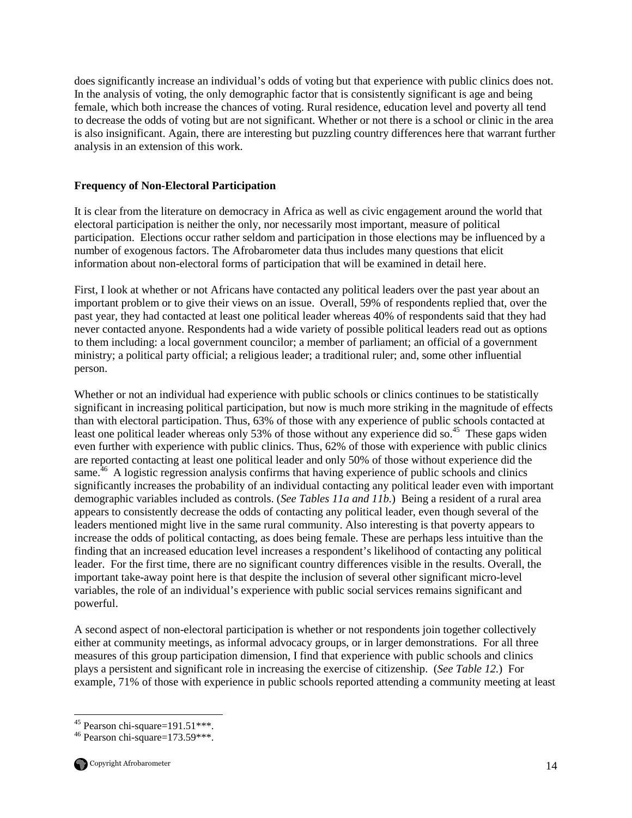does significantly increase an individual's odds of voting but that experience with public clinics does not. In the analysis of voting, the only demographic factor that is consistently significant is age and being female, which both increase the chances of voting. Rural residence, education level and poverty all tend to decrease the odds of voting but are not significant. Whether or not there is a school or clinic in the area is also insignificant. Again, there are interesting but puzzling country differences here that warrant further analysis in an extension of this work.

## **Frequency of Non-Electoral Participation**

It is clear from the literature on democracy in Africa as well as civic engagement around the world that electoral participation is neither the only, nor necessarily most important, measure of political participation. Elections occur rather seldom and participation in those elections may be influenced by a number of exogenous factors. The Afrobarometer data thus includes many questions that elicit information about non-electoral forms of participation that will be examined in detail here.

First, I look at whether or not Africans have contacted any political leaders over the past year about an important problem or to give their views on an issue. Overall, 59% of respondents replied that, over the past year, they had contacted at least one political leader whereas 40% of respondents said that they had never contacted anyone. Respondents had a wide variety of possible political leaders read out as options to them including: a local government councilor; a member of parliament; an official of a government ministry; a political party official; a religious leader; a traditional ruler; and, some other influential person.

Whether or not an individual had experience with public schools or clinics continues to be statistically significant in increasing political participation, but now is much more striking in the magnitude of effects than with electoral participation. Thus, 63% of those with any experience of public schools contacted at least one political leader whereas only 53% of those without any experience did so.<sup>45</sup> These gaps widen even further with experience with public clinics. Thus, 62% of those with experience with public clinics are reported contacting at least one political leader and only 50% of those without experience did the same.<sup>46</sup> A logistic regression analysis confirms that having experience of public schools and clinics significantly increases the probability of an individual contacting any political leader even with important demographic variables included as controls. (*See Tables 11a and 11b.*) Being a resident of a rural area appears to consistently decrease the odds of contacting any political leader, even though several of the leaders mentioned might live in the same rural community. Also interesting is that poverty appears to increase the odds of political contacting, as does being female. These are perhaps less intuitive than the finding that an increased education level increases a respondent's likelihood of contacting any political leader. For the first time, there are no significant country differences visible in the results. Overall, the important take-away point here is that despite the inclusion of several other significant micro-level variables, the role of an individual's experience with public social services remains significant and powerful.

A second aspect of non-electoral participation is whether or not respondents join together collectively either at community meetings, as informal advocacy groups, or in larger demonstrations. For all three measures of this group participation dimension, I find that experience with public schools and clinics plays a persistent and significant role in increasing the exercise of citizenship. (*See Table 12.*) For example, 71% of those with experience in public schools reported attending a community meeting at least

<sup>-</sup> $45$  Pearson chi-square=191.51\*\*\*.

 $46$  Pearson chi-square=173.59\*\*\*.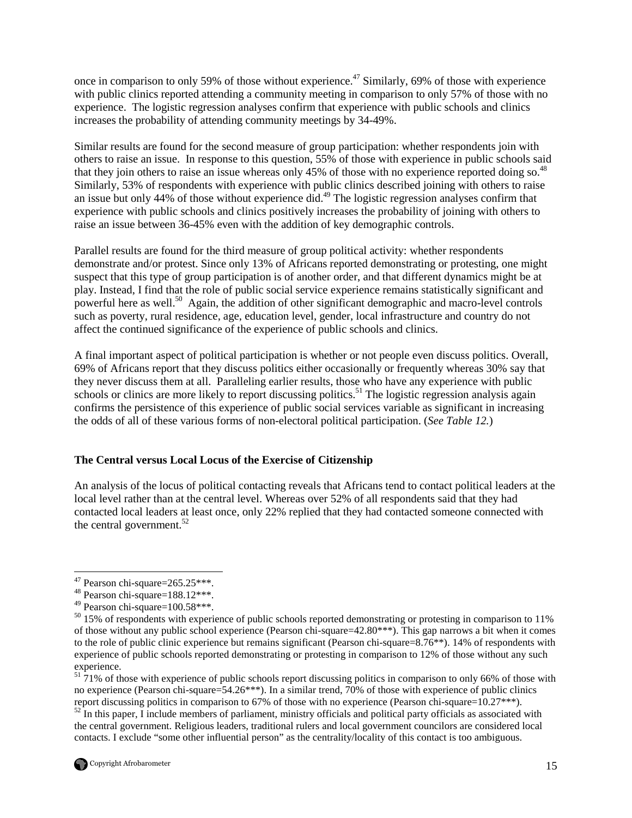once in comparison to only 59% of those without experience.<sup> $47$ </sup> Similarly, 69% of those with experience with public clinics reported attending a community meeting in comparison to only 57% of those with no experience. The logistic regression analyses confirm that experience with public schools and clinics increases the probability of attending community meetings by 34-49%.

Similar results are found for the second measure of group participation: whether respondents join with others to raise an issue. In response to this question, 55% of those with experience in public schools said that they join others to raise an issue whereas only 45% of those with no experience reported doing so.<sup>48</sup> Similarly, 53% of respondents with experience with public clinics described joining with others to raise an issue but only 44% of those without experience did.<sup>49</sup> The logistic regression analyses confirm that experience with public schools and clinics positively increases the probability of joining with others to raise an issue between 36-45% even with the addition of key demographic controls.

Parallel results are found for the third measure of group political activity: whether respondents demonstrate and/or protest. Since only 13% of Africans reported demonstrating or protesting, one might suspect that this type of group participation is of another order, and that different dynamics might be at play. Instead, I find that the role of public social service experience remains statistically significant and powerful here as well.<sup>50</sup> Again, the addition of other significant demographic and macro-level controls such as poverty, rural residence, age, education level, gender, local infrastructure and country do not affect the continued significance of the experience of public schools and clinics.

A final important aspect of political participation is whether or not people even discuss politics. Overall, 69% of Africans report that they discuss politics either occasionally or frequently whereas 30% say that they never discuss them at all. Paralleling earlier results, those who have any experience with public schools or clinics are more likely to report discussing politics.<sup>51</sup> The logistic regression analysis again confirms the persistence of this experience of public social services variable as significant in increasing the odds of all of these various forms of non-electoral political participation. (*See Table 12.*)

### **The Central versus Local Locus of the Exercise of Citizenship**

An analysis of the locus of political contacting reveals that Africans tend to contact political leaders at the local level rather than at the central level. Whereas over 52% of all respondents said that they had contacted local leaders at least once, only 22% replied that they had contacted someone connected with the central government.<sup>52</sup>

<sup>-</sup> $47$  Pearson chi-square= $265.25***$ .

 $48$  Pearson chi-square=188.12\*\*\*.

<sup>49</sup> Pearson chi-square=100.58\*\*\*.

 $50\,15\%$  of respondents with experience of public schools reported demonstrating or protesting in comparison to 11% of those without any public school experience (Pearson chi-square=42.80\*\*\*). This gap narrows a bit when it comes to the role of public clinic experience but remains significant (Pearson chi-square=8.76\*\*). 14% of respondents with experience of public schools reported demonstrating or protesting in comparison to 12% of those without any such experience.

 $\frac{51}{21\%}$  of those with experience of public schools report discussing politics in comparison to only 66% of those with no experience (Pearson chi-square=54.26\*\*\*). In a similar trend, 70% of those with experience of public clinics report discussing politics in comparison to 67% of those with no experience (Pearson chi-square=10.27\*\*\*).

 $52$  In this paper, I include members of parliament, ministry officials and political party officials as associated with the central government. Religious leaders, traditional rulers and local government councilors are considered local contacts. I exclude "some other influential person" as the centrality/locality of this contact is too ambiguous.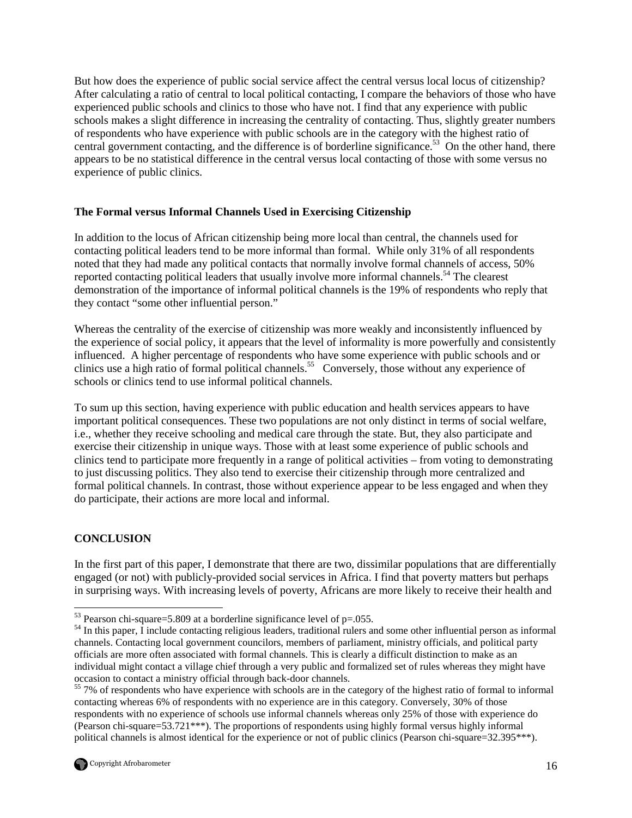But how does the experience of public social service affect the central versus local locus of citizenship? After calculating a ratio of central to local political contacting, I compare the behaviors of those who have experienced public schools and clinics to those who have not. I find that any experience with public schools makes a slight difference in increasing the centrality of contacting. Thus, slightly greater numbers of respondents who have experience with public schools are in the category with the highest ratio of central government contacting, and the difference is of borderline significance.<sup>53</sup> On the other hand, there appears to be no statistical difference in the central versus local contacting of those with some versus no experience of public clinics.

### **The Formal versus Informal Channels Used in Exercising Citizenship**

In addition to the locus of African citizenship being more local than central, the channels used for contacting political leaders tend to be more informal than formal. While only 31% of all respondents noted that they had made any political contacts that normally involve formal channels of access, 50% reported contacting political leaders that usually involve more informal channels.<sup>54</sup> The clearest demonstration of the importance of informal political channels is the 19% of respondents who reply that they contact "some other influential person."

Whereas the centrality of the exercise of citizenship was more weakly and inconsistently influenced by the experience of social policy, it appears that the level of informality is more powerfully and consistently influenced. A higher percentage of respondents who have some experience with public schools and or clinics use a high ratio of formal political channels.<sup>55</sup> Conversely, those without any experience of schools or clinics tend to use informal political channels.

To sum up this section, having experience with public education and health services appears to have important political consequences. These two populations are not only distinct in terms of social welfare, i.e., whether they receive schooling and medical care through the state. But, they also participate and exercise their citizenship in unique ways. Those with at least some experience of public schools and clinics tend to participate more frequently in a range of political activities – from voting to demonstrating to just discussing politics. They also tend to exercise their citizenship through more centralized and formal political channels. In contrast, those without experience appear to be less engaged and when they do participate, their actions are more local and informal.

## **CONCLUSION**

-

In the first part of this paper, I demonstrate that there are two, dissimilar populations that are differentially engaged (or not) with publicly-provided social services in Africa. I find that poverty matters but perhaps in surprising ways. With increasing levels of poverty, Africans are more likely to receive their health and

<sup>&</sup>lt;sup>55</sup> 7% of respondents who have experience with schools are in the category of the highest ratio of formal to informal contacting whereas 6% of respondents with no experience are in this category. Conversely, 30% of those respondents with no experience of schools use informal channels whereas only 25% of those with experience do (Pearson chi-square=53.721\*\*\*). The proportions of respondents using highly formal versus highly informal political channels is almost identical for the experience or not of public clinics (Pearson chi-square=32.395\*\*\*).



 $53$  Pearson chi-square=5.809 at a borderline significance level of p=.055.

<sup>&</sup>lt;sup>54</sup> In this paper, I include contacting religious leaders, traditional rulers and some other influential person as informal channels. Contacting local government councilors, members of parliament, ministry officials, and political party officials are more often associated with formal channels. This is clearly a difficult distinction to make as an individual might contact a village chief through a very public and formalized set of rules whereas they might have occasion to contact a ministry official through back-door channels.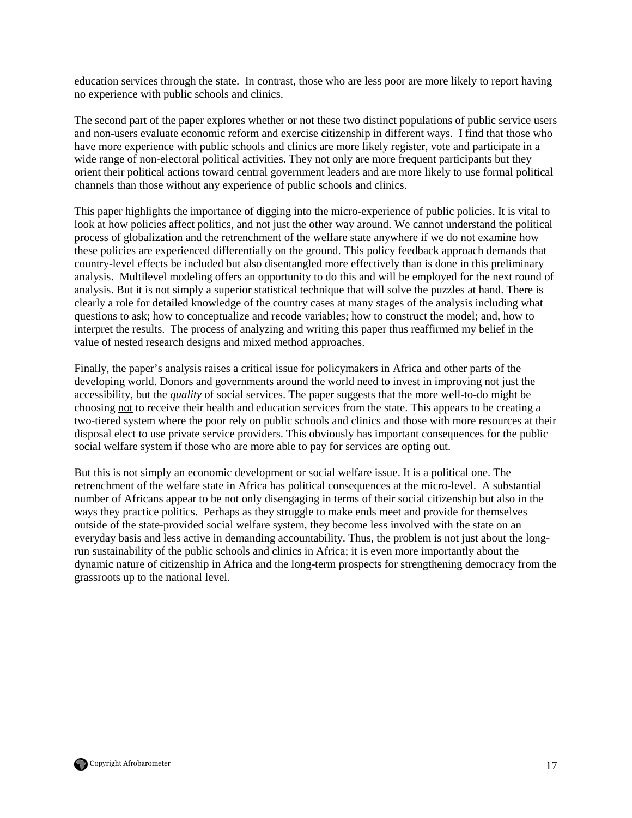education services through the state. In contrast, those who are less poor are more likely to report having no experience with public schools and clinics.

The second part of the paper explores whether or not these two distinct populations of public service users and non-users evaluate economic reform and exercise citizenship in different ways. I find that those who have more experience with public schools and clinics are more likely register, vote and participate in a wide range of non-electoral political activities. They not only are more frequent participants but they orient their political actions toward central government leaders and are more likely to use formal political channels than those without any experience of public schools and clinics.

This paper highlights the importance of digging into the micro-experience of public policies. It is vital to look at how policies affect politics, and not just the other way around. We cannot understand the political process of globalization and the retrenchment of the welfare state anywhere if we do not examine how these policies are experienced differentially on the ground. This policy feedback approach demands that country-level effects be included but also disentangled more effectively than is done in this preliminary analysis. Multilevel modeling offers an opportunity to do this and will be employed for the next round of analysis. But it is not simply a superior statistical technique that will solve the puzzles at hand. There is clearly a role for detailed knowledge of the country cases at many stages of the analysis including what questions to ask; how to conceptualize and recode variables; how to construct the model; and, how to interpret the results. The process of analyzing and writing this paper thus reaffirmed my belief in the value of nested research designs and mixed method approaches.

Finally, the paper's analysis raises a critical issue for policymakers in Africa and other parts of the developing world. Donors and governments around the world need to invest in improving not just the accessibility, but the *quality* of social services. The paper suggests that the more well-to-do might be choosing not to receive their health and education services from the state. This appears to be creating a two-tiered system where the poor rely on public schools and clinics and those with more resources at their disposal elect to use private service providers. This obviously has important consequences for the public social welfare system if those who are more able to pay for services are opting out.

But this is not simply an economic development or social welfare issue. It is a political one. The retrenchment of the welfare state in Africa has political consequences at the micro-level. A substantial number of Africans appear to be not only disengaging in terms of their social citizenship but also in the ways they practice politics. Perhaps as they struggle to make ends meet and provide for themselves outside of the state-provided social welfare system, they become less involved with the state on an everyday basis and less active in demanding accountability. Thus, the problem is not just about the longrun sustainability of the public schools and clinics in Africa; it is even more importantly about the dynamic nature of citizenship in Africa and the long-term prospects for strengthening democracy from the grassroots up to the national level.

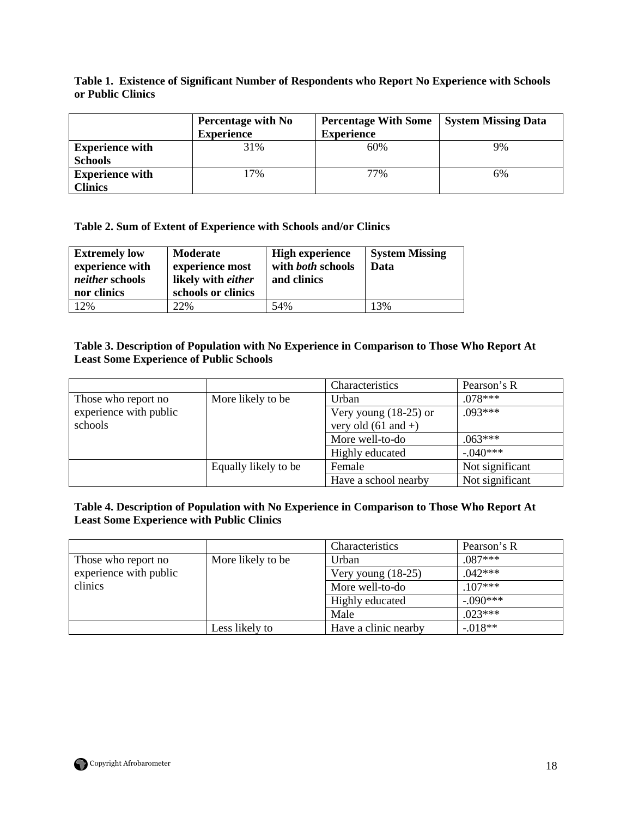## **Table 1. Existence of Significant Number of Respondents who Report No Experience with Schools or Public Clinics**

|                                          | Percentage with No<br><b>Experience</b> | <b>Percentage With Some</b><br><b>Experience</b> | <b>System Missing Data</b> |
|------------------------------------------|-----------------------------------------|--------------------------------------------------|----------------------------|
| <b>Experience with</b><br><b>Schools</b> | 31%                                     | 60%                                              | 9%                         |
| <b>Experience with</b><br><b>Clinics</b> | 17%                                     | 77%                                              | 6%                         |

## **Table 2. Sum of Extent of Experience with Schools and/or Clinics**

| <b>Extremely low</b><br>experience with<br><i>neither</i> schools<br>nor clinics | Moderate<br>experience most<br>likely with either<br>schools or clinics | <b>High experience</b><br>with both schools<br>and clinics | <b>System Missing</b><br>Data |
|----------------------------------------------------------------------------------|-------------------------------------------------------------------------|------------------------------------------------------------|-------------------------------|
| 12%                                                                              | 22%                                                                     | 54%                                                        | 13%                           |

### **Table 3. Description of Population with No Experience in Comparison to Those Who Report At Least Some Experience of Public Schools**

|                        |                      | Characteristics         | Pearson's R     |
|------------------------|----------------------|-------------------------|-----------------|
| Those who report no    | More likely to be    | Urban                   | $078***$        |
| experience with public |                      | Very young $(18-25)$ or | $.093***$       |
| schools                |                      | very old $(61$ and +)   |                 |
|                        |                      | More well-to-do         | $.063***$       |
|                        |                      | Highly educated         | $-.040***$      |
|                        | Equally likely to be | Female                  | Not significant |
|                        |                      | Have a school nearby    | Not significant |

## **Table 4. Description of Population with No Experience in Comparison to Those Who Report At Least Some Experience with Public Clinics**

|                        |                   | Characteristics      | Pearson's R |
|------------------------|-------------------|----------------------|-------------|
| Those who report no    | More likely to be | Urban                | $.087***$   |
| experience with public |                   | Very young $(18-25)$ | $.042***$   |
| clinics                |                   | More well-to-do      | $.107***$   |
|                        |                   | Highly educated      | $-0.090***$ |
|                        |                   | Male                 | $023***$    |
|                        | Less likely to    | Have a clinic nearby | $-0.018**$  |

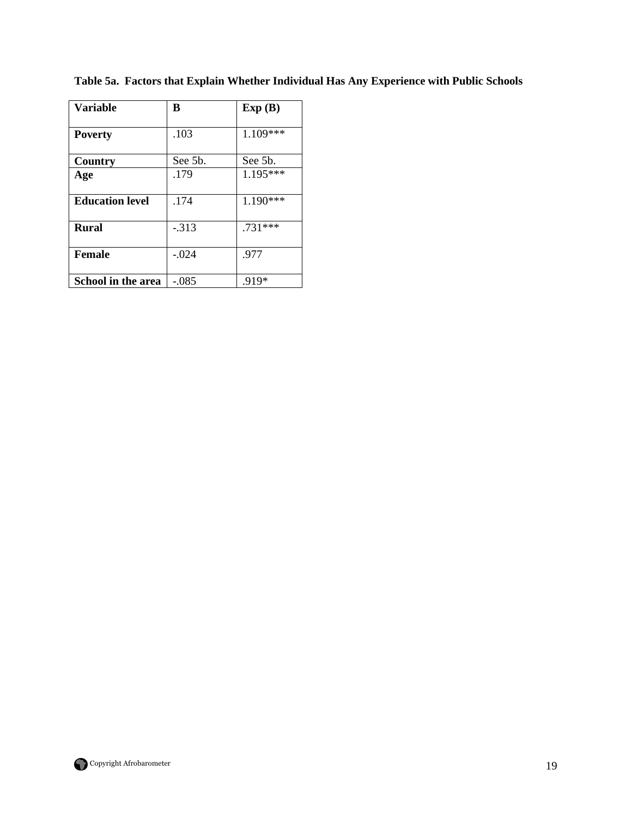| <b>Variable</b>        | B       | Exp(B)     |
|------------------------|---------|------------|
| <b>Poverty</b>         | .103    | $1.109***$ |
| Country                | See 5b. | See 5b.    |
| Age                    | .179    | $1.195***$ |
| <b>Education level</b> | .174    | 1.190***   |
| <b>Rural</b>           | $-313$  | .731***    |
| <b>Female</b>          | $-.024$ | .977       |
| School in the area     | $-.085$ | .919*      |

**Table 5a. Factors that Explain Whether Individual Has Any Experience with Public Schools** 

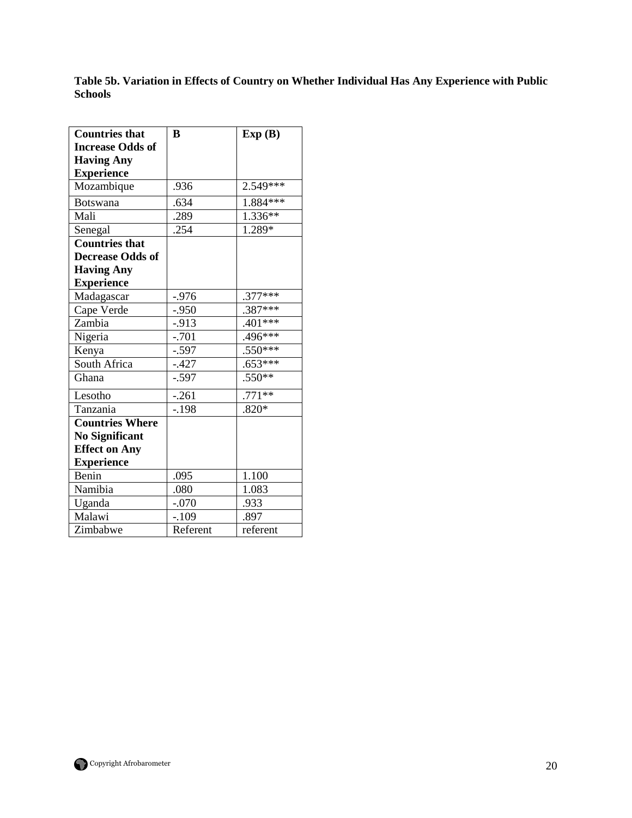**Table 5b. Variation in Effects of Country on Whether Individual Has Any Experience with Public Schools** 

| <b>Countries that</b>   | B        | Exp(B)     |
|-------------------------|----------|------------|
| <b>Increase Odds of</b> |          |            |
| <b>Having Any</b>       |          |            |
| <b>Experience</b>       |          |            |
| Mozambique              | .936     | 2.549***   |
| Botswana                | .634     | $1.884***$ |
| Mali                    | .289     | $1.336**$  |
| Senegal                 | .254     | 1.289*     |
| <b>Countries that</b>   |          |            |
| <b>Decrease Odds of</b> |          |            |
| <b>Having Any</b>       |          |            |
| <b>Experience</b>       |          |            |
| Madagascar              | $-.976$  | $.377***$  |
| Cape Verde              | $-.950$  | $.387***$  |
| Zambia                  | -.913    | $.401***$  |
| Nigeria                 | $-.701$  | $.496***$  |
| Kenya                   | $-.597$  | $.550***$  |
| South Africa            | $-.427$  | $.653***$  |
| Ghana                   | $-.597$  | $.550**$   |
| Lesotho                 | $-.261$  | $.771**$   |
| Tanzania                | $-.198$  | $.820*$    |
| <b>Countries Where</b>  |          |            |
| <b>No Significant</b>   |          |            |
| <b>Effect on Any</b>    |          |            |
| <b>Experience</b>       |          |            |
| Benin                   | .095     | 1.100      |
| Namibia                 | .080     | 1.083      |
| Uganda                  | $-.070$  | .933       |
| Malawi                  | $-.109$  | .897       |
| Zimbabwe                | Referent | referent   |

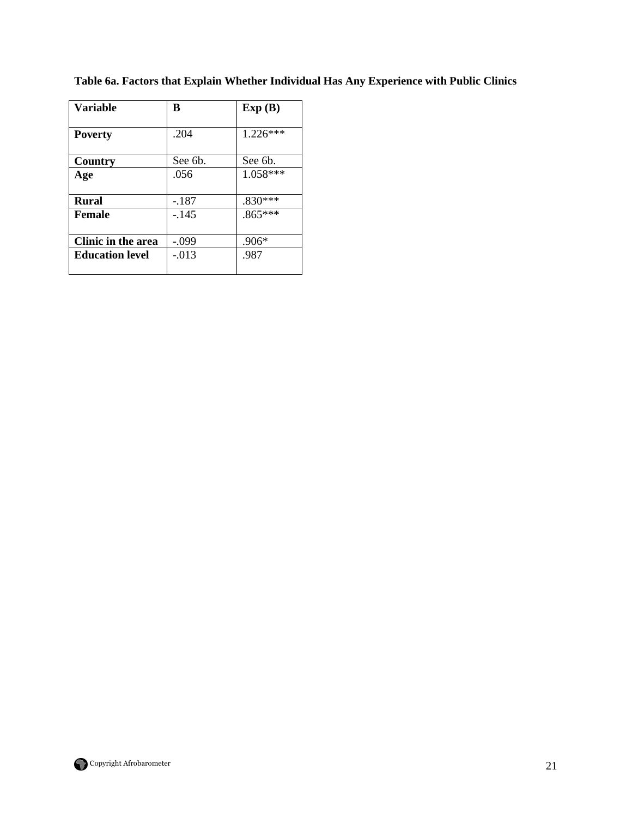| <b>Variable</b>           | B       | Exp(B)    |
|---------------------------|---------|-----------|
| <b>Poverty</b>            | .204    | 1.226***  |
| Country                   | See 6b. | See 6b.   |
| Age                       | .056    | 1.058***  |
|                           |         |           |
| <b>Rural</b>              | $-.187$ | $.830***$ |
| <b>Female</b>             | $-145$  | $.865***$ |
|                           |         |           |
| <b>Clinic in the area</b> | $-.099$ | $.906*$   |
| <b>Education level</b>    | $-.013$ | .987      |
|                           |         |           |

**Table 6a. Factors that Explain Whether Individual Has Any Experience with Public Clinics** 

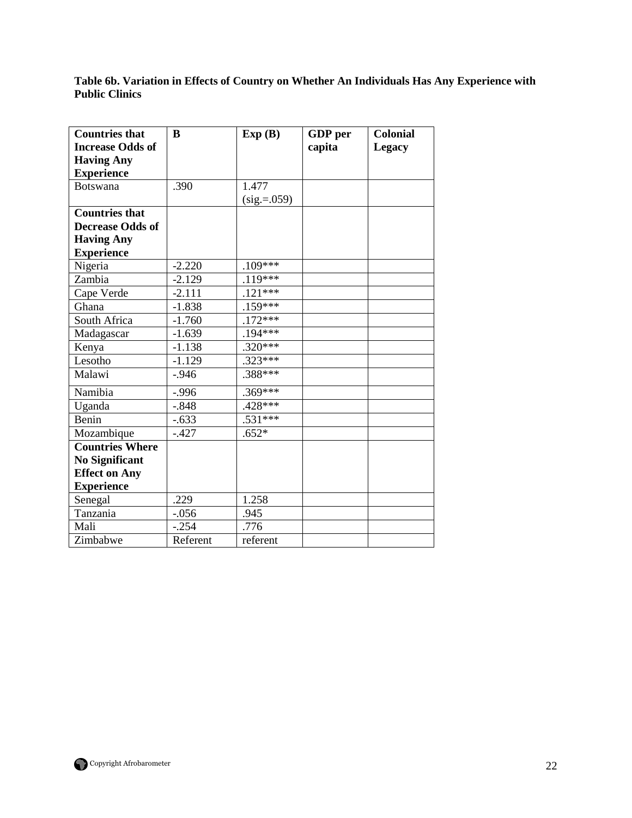**Table 6b. Variation in Effects of Country on Whether An Individuals Has Any Experience with Public Clinics** 

| <b>Countries that</b>   | B        | Exp(B)          | GDP per | <b>Colonial</b> |
|-------------------------|----------|-----------------|---------|-----------------|
| <b>Increase Odds of</b> |          |                 | capita  | <b>Legacy</b>   |
| <b>Having Any</b>       |          |                 |         |                 |
| <b>Experience</b>       |          |                 |         |                 |
| <b>Botswana</b>         | .390     | 1.477           |         |                 |
|                         |          | $(sig. = .059)$ |         |                 |
| <b>Countries that</b>   |          |                 |         |                 |
| <b>Decrease Odds of</b> |          |                 |         |                 |
| <b>Having Any</b>       |          |                 |         |                 |
| <b>Experience</b>       |          |                 |         |                 |
| Nigeria                 | $-2.220$ | $.109***$       |         |                 |
| Zambia                  | $-2.129$ | $.119***$       |         |                 |
| Cape Verde              | $-2.111$ | $.121***$       |         |                 |
| Ghana                   | $-1.838$ | $.159***$       |         |                 |
| South Africa            | $-1.760$ | $.172***$       |         |                 |
| Madagascar              | $-1.639$ | $.194***$       |         |                 |
| Kenya                   | $-1.138$ | $.320***$       |         |                 |
| Lesotho                 | $-1.129$ | $.323***$       |         |                 |
| Malawi                  | $-0.946$ | $.388***$       |         |                 |
| Namibia                 | $-.996$  | $.369***$       |         |                 |
| Uganda                  | $-.848$  | .428***         |         |                 |
| Benin                   | $-.633$  | $.531***$       |         |                 |
| Mozambique              | $-427$   | $.652*$         |         |                 |
| <b>Countries Where</b>  |          |                 |         |                 |
| <b>No Significant</b>   |          |                 |         |                 |
| <b>Effect on Any</b>    |          |                 |         |                 |
| <b>Experience</b>       |          |                 |         |                 |
| Senegal                 | .229     | 1.258           |         |                 |
| Tanzania                | $-.056$  | .945            |         |                 |
| Mali                    | $-.254$  | .776            |         |                 |
| Zimbabwe                | Referent | referent        |         |                 |

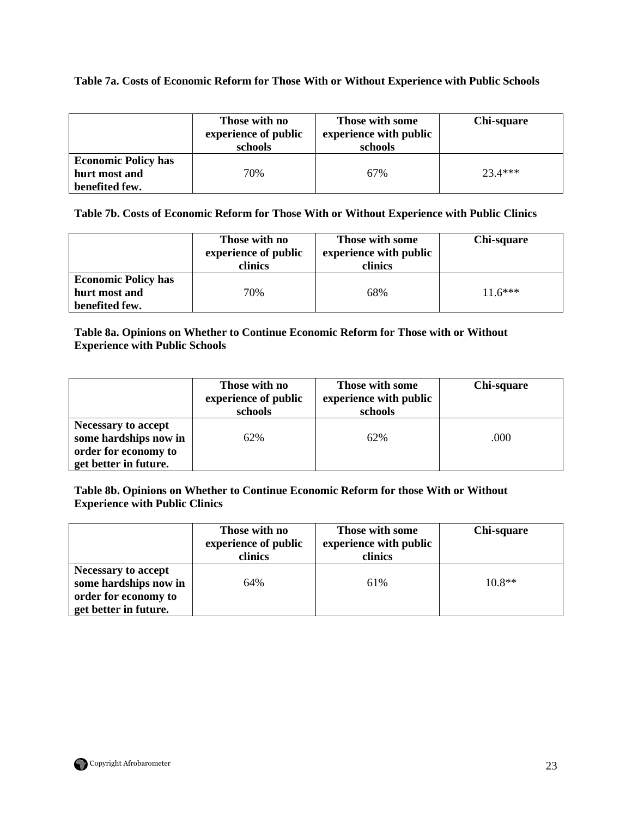## **Table 7a. Costs of Economic Reform for Those With or Without Experience with Public Schools**

|                                                               | Those with no<br>experience of public<br>schools | Those with some<br>experience with public<br>schools | Chi-square |
|---------------------------------------------------------------|--------------------------------------------------|------------------------------------------------------|------------|
| <b>Economic Policy has</b><br>hurt most and<br>benefited few. | 70%                                              | 67%                                                  | $23.4***$  |

**Table 7b. Costs of Economic Reform for Those With or Without Experience with Public Clinics** 

|                                                               | Those with no<br>experience of public<br>clinics | Those with some<br>experience with public<br>clinics | Chi-square |
|---------------------------------------------------------------|--------------------------------------------------|------------------------------------------------------|------------|
| <b>Economic Policy has</b><br>hurt most and<br>benefited few. | 70%                                              | 68%                                                  | $11.6***$  |

**Table 8a. Opinions on Whether to Continue Economic Reform for Those with or Without Experience with Public Schools** 

|                                                                                                      | Those with no<br>experience of public<br>schools | Those with some<br>experience with public<br>schools | Chi-square |
|------------------------------------------------------------------------------------------------------|--------------------------------------------------|------------------------------------------------------|------------|
| <b>Necessary to accept</b><br>some hardships now in<br>order for economy to<br>get better in future. | 62%                                              | 62%                                                  | .000       |

**Table 8b. Opinions on Whether to Continue Economic Reform for those With or Without Experience with Public Clinics** 

|                                                                                               | Those with no<br>experience of public<br>clinics | Those with some<br>experience with public<br>clinics | Chi-square |
|-----------------------------------------------------------------------------------------------|--------------------------------------------------|------------------------------------------------------|------------|
| Necessary to accept<br>some hardships now in<br>order for economy to<br>get better in future. | 64%                                              | 61%                                                  | $10.8**$   |

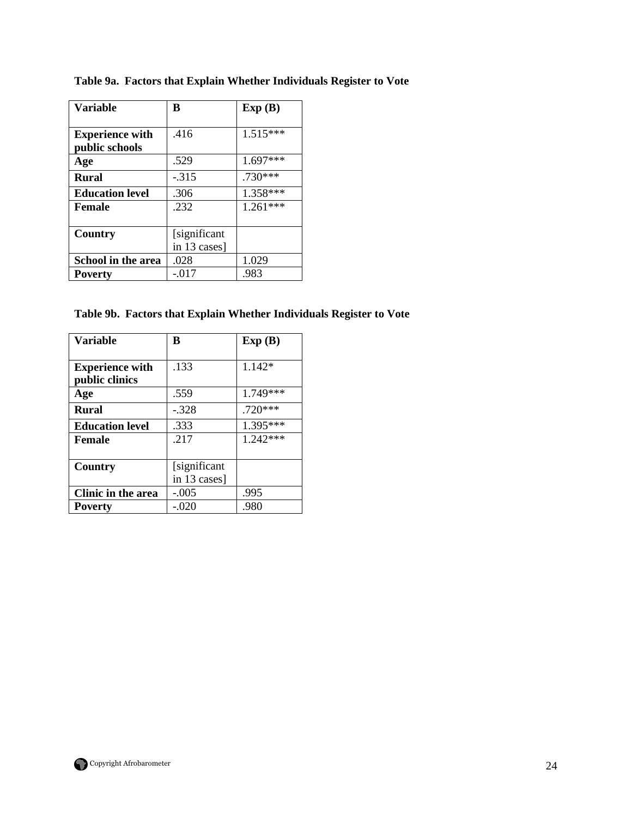| <b>Variable</b>        | B            | Exp(B)     |
|------------------------|--------------|------------|
|                        |              |            |
| <b>Experience with</b> | .416         | $1.515***$ |
| public schools         |              |            |
| Age                    | .529         | $1.697***$ |
| <b>Rural</b>           | $-.315$      | .730***    |
| <b>Education level</b> | .306         | 1.358***   |
| Female                 | .232         | $1.261***$ |
|                        |              |            |
| Country                | [significant |            |
|                        | in 13 cases] |            |
| School in the area     | .028         | 1.029      |
| <b>Poverty</b>         | $-.017$      | .983       |

**Table 9a. Factors that Explain Whether Individuals Register to Vote** 

**Table 9b. Factors that Explain Whether Individuals Register to Vote** 

| <b>Variable</b>        | B             | Exp(B)     |
|------------------------|---------------|------------|
|                        |               |            |
| <b>Experience with</b> | .133          | 1.142*     |
| public clinics         |               |            |
| Age                    | .559          | 1.749***   |
| <b>Rural</b>           | $-.328$       | .720***    |
| <b>Education level</b> | .333          | 1.395***   |
| Female                 | .217          | $1.242***$ |
|                        |               |            |
| Country                | [significant] |            |
|                        | in 13 cases]  |            |
| Clinic in the area     | $-.005$       | .995       |
| <b>Poverty</b>         | $-.020$       | .980       |

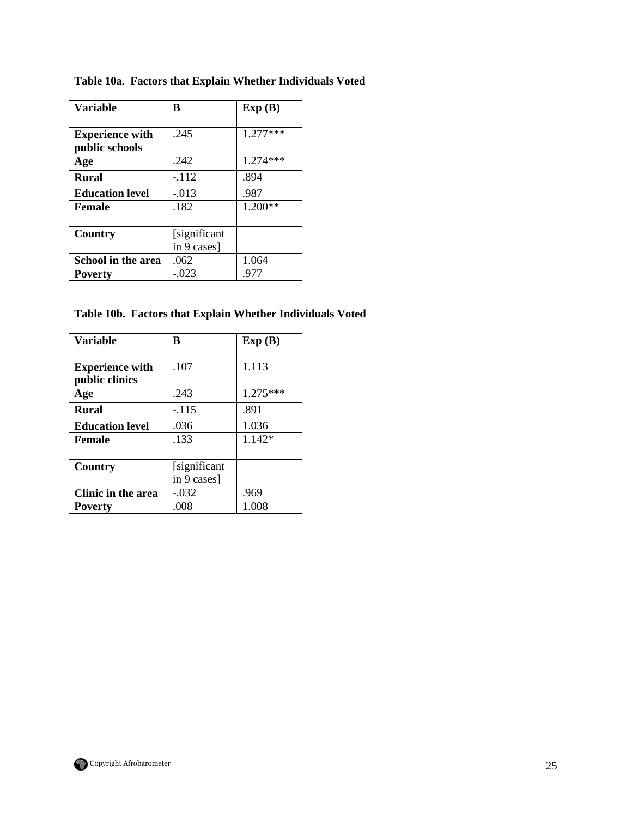| <b>Variable</b>        | B             | Exp(B)     |
|------------------------|---------------|------------|
|                        |               |            |
| <b>Experience with</b> | .245          | $1.277***$ |
| public schools         |               |            |
| Age                    | .242          | $1.274***$ |
| <b>Rural</b>           | $-112$        | .894       |
| <b>Education level</b> | $-.013$       | .987       |
| <b>Female</b>          | .182          | $1.200**$  |
|                        |               |            |
| Country                | [significant] |            |
|                        | in 9 cases]   |            |
| School in the area     | .062          | 1.064      |
| <b>Poverty</b>         | $-.023$       | .977       |

**Table 10a. Factors that Explain Whether Individuals Voted** 

**Table 10b. Factors that Explain Whether Individuals Voted** 

| <b>Variable</b>        | B            | Exp(B)     |
|------------------------|--------------|------------|
|                        |              |            |
| <b>Experience with</b> | .107         | 1.113      |
| public clinics         |              |            |
| Age                    | .243         | $1.275***$ |
| <b>Rural</b>           | $-115$       | .891       |
| <b>Education level</b> | .036         | 1.036      |
| Female                 | .133         | 1.142*     |
|                        |              |            |
| Country                | [significant |            |
|                        | in 9 cases]  |            |
| Clinic in the area     | $-.032$      | .969       |
| <b>Poverty</b>         | .008         | 1.008      |

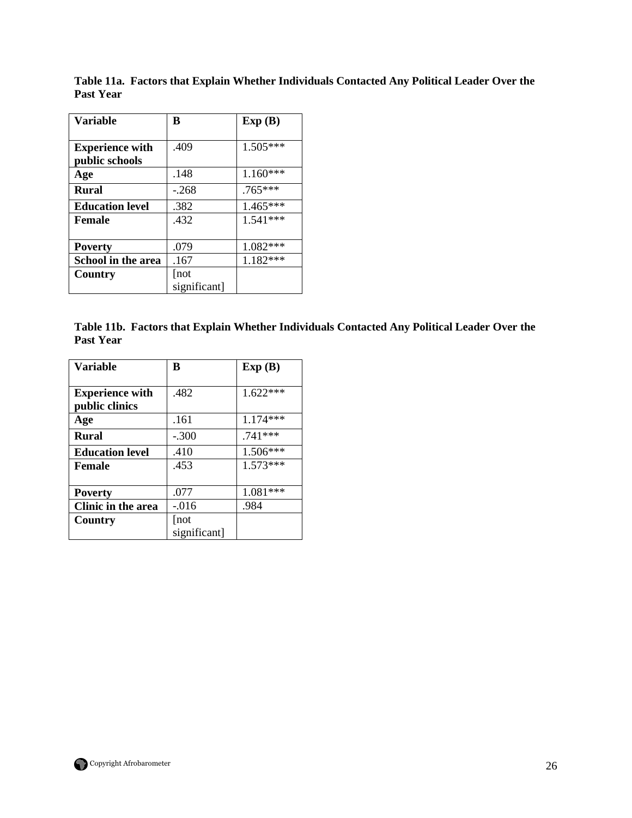| <b>Variable</b>           | B            | Exp(B)     |
|---------------------------|--------------|------------|
|                           |              |            |
| <b>Experience with</b>    | .409         | $1.505***$ |
| public schools            |              |            |
| Age                       | .148         | $1.160***$ |
| <b>Rural</b>              | $-.268$      | $.765***$  |
| <b>Education level</b>    | .382         | $1.465***$ |
| <b>Female</b>             | .432         | $1.541***$ |
|                           |              |            |
| <b>Poverty</b>            | .079         | 1.082***   |
| <b>School in the area</b> | .167         | $1.182***$ |
| Country                   | [not         |            |
|                           | significant] |            |

**Table 11a. Factors that Explain Whether Individuals Contacted Any Political Leader Over the Past Year** 

|           | Table 11b. Factors that Explain Whether Individuals Contacted Any Political Leader Over the |  |  |
|-----------|---------------------------------------------------------------------------------------------|--|--|
| Past Year |                                                                                             |  |  |

| <b>Variable</b>        | B            | Exp(B)     |
|------------------------|--------------|------------|
|                        |              |            |
| <b>Experience with</b> | .482         | $1.622***$ |
| public clinics         |              |            |
| Age                    | .161         | $1.174***$ |
| <b>Rural</b>           | $-.300$      | $.741***$  |
| <b>Education level</b> | .410         | 1.506***   |
| Female                 | .453         | $1.573***$ |
|                        |              |            |
| <b>Poverty</b>         | .077         | 1.081***   |
| Clinic in the area     | $-0.016$     | .984       |
| Country                | [not         |            |
|                        | significant] |            |

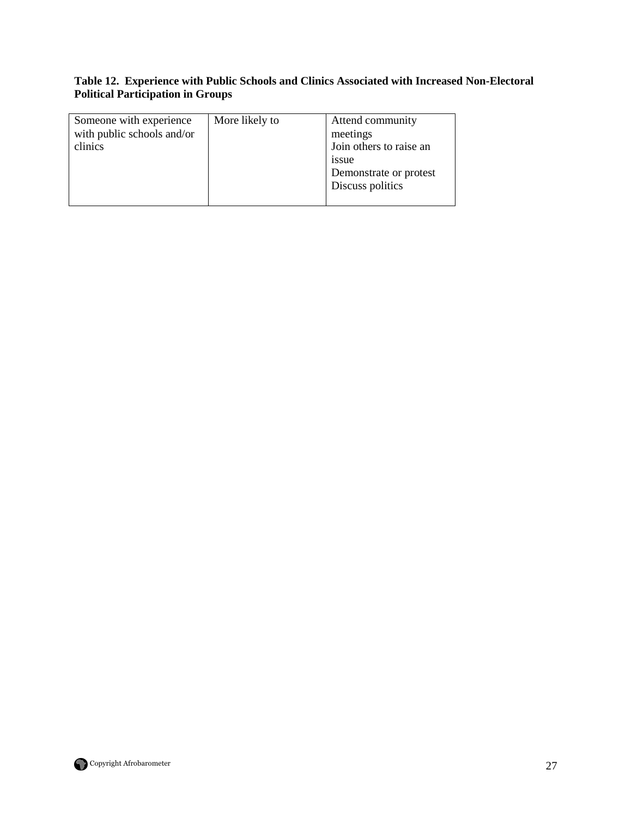## **Table 12. Experience with Public Schools and Clinics Associated with Increased Non-Electoral Political Participation in Groups**

| Someone with experience<br>with public schools and/or<br>clinics | More likely to | Attend community<br>meetings<br>Join others to raise an<br>1SSue<br>Demonstrate or protest<br>Discuss politics |
|------------------------------------------------------------------|----------------|----------------------------------------------------------------------------------------------------------------|
|------------------------------------------------------------------|----------------|----------------------------------------------------------------------------------------------------------------|

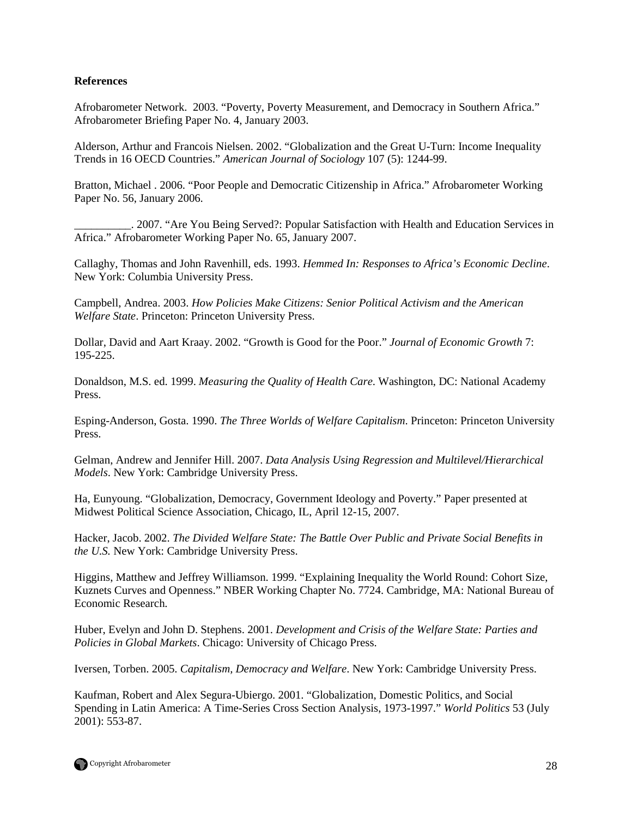#### **References**

Afrobarometer Network. 2003. "Poverty, Poverty Measurement, and Democracy in Southern Africa." Afrobarometer Briefing Paper No. 4, January 2003.

Alderson, Arthur and Francois Nielsen. 2002. "Globalization and the Great U-Turn: Income Inequality Trends in 16 OECD Countries." *American Journal of Sociology* 107 (5): 1244-99.

Bratton, Michael . 2006. "Poor People and Democratic Citizenship in Africa." Afrobarometer Working Paper No. 56, January 2006.

\_\_\_\_\_\_\_\_\_\_. 2007. "Are You Being Served?: Popular Satisfaction with Health and Education Services in Africa." Afrobarometer Working Paper No. 65, January 2007.

Callaghy, Thomas and John Ravenhill, eds. 1993. *Hemmed In: Responses to Africa's Economic Decline*. New York: Columbia University Press.

Campbell, Andrea. 2003. *How Policies Make Citizens: Senior Political Activism and the American Welfare State*. Princeton: Princeton University Press.

Dollar, David and Aart Kraay. 2002. "Growth is Good for the Poor." *Journal of Economic Growth* 7: 195-225.

Donaldson, M.S. ed. 1999. *Measuring the Quality of Health Care*. Washington, DC: National Academy Press.

Esping-Anderson, Gosta. 1990. *The Three Worlds of Welfare Capitalism*. Princeton: Princeton University Press.

Gelman, Andrew and Jennifer Hill. 2007. *Data Analysis Using Regression and Multilevel/Hierarchical Models*. New York: Cambridge University Press.

Ha, Eunyoung. "Globalization, Democracy, Government Ideology and Poverty." Paper presented at Midwest Political Science Association, Chicago, IL, April 12-15, 2007.

Hacker, Jacob. 2002. *The Divided Welfare State: The Battle Over Public and Private Social Benefits in the U.S.* New York: Cambridge University Press.

Higgins, Matthew and Jeffrey Williamson. 1999. "Explaining Inequality the World Round: Cohort Size, Kuznets Curves and Openness." NBER Working Chapter No. 7724. Cambridge, MA: National Bureau of Economic Research.

Huber, Evelyn and John D. Stephens. 2001. *Development and Crisis of the Welfare State: Parties and Policies in Global Markets*. Chicago: University of Chicago Press.

Iversen, Torben. 2005. *Capitalism, Democracy and Welfare*. New York: Cambridge University Press.

Kaufman, Robert and Alex Segura-Ubiergo. 2001. "Globalization, Domestic Politics, and Social Spending in Latin America: A Time-Series Cross Section Analysis, 1973-1997." *World Politics* 53 (July 2001): 553-87.

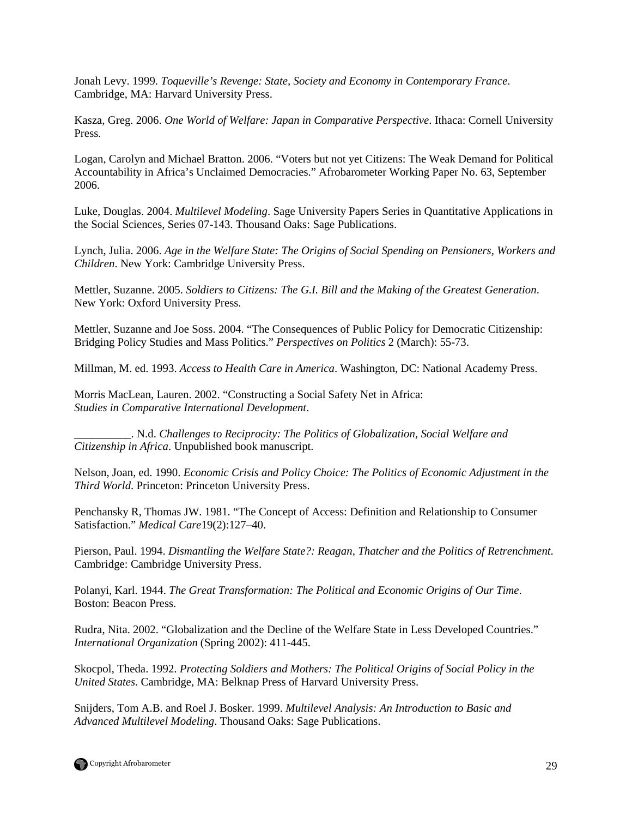Jonah Levy. 1999. *Toqueville's Revenge: State, Society and Economy in Contemporary France*. Cambridge, MA: Harvard University Press.

Kasza, Greg. 2006. *One World of Welfare: Japan in Comparative Perspective*. Ithaca: Cornell University Press.

Logan, Carolyn and Michael Bratton. 2006. "Voters but not yet Citizens: The Weak Demand for Political Accountability in Africa's Unclaimed Democracies." Afrobarometer Working Paper No. 63, September 2006.

Luke, Douglas. 2004. *Multilevel Modeling*. Sage University Papers Series in Quantitative Applications in the Social Sciences, Series 07-143. Thousand Oaks: Sage Publications.

Lynch, Julia. 2006. *Age in the Welfare State: The Origins of Social Spending on Pensioners, Workers and Children*. New York: Cambridge University Press.

Mettler, Suzanne. 2005. *Soldiers to Citizens: The G.I. Bill and the Making of the Greatest Generation*. New York: Oxford University Press.

Mettler, Suzanne and Joe Soss. 2004. "The Consequences of Public Policy for Democratic Citizenship: Bridging Policy Studies and Mass Politics." *Perspectives on Politics* 2 (March): 55-73.

Millman, M. ed. 1993. *Access to Health Care in America*. Washington, DC: National Academy Press.

Morris MacLean, Lauren. 2002. "Constructing a Social Safety Net in Africa: *Studies in Comparative International Development*.

\_\_\_\_\_\_\_\_\_\_. N.d. *Challenges to Reciprocity: The Politics of Globalization, Social Welfare and Citizenship in Africa*. Unpublished book manuscript.

Nelson, Joan, ed. 1990. *Economic Crisis and Policy Choice: The Politics of Economic Adjustment in the Third World*. Princeton: Princeton University Press.

Penchansky R, Thomas JW. 1981. "The Concept of Access: Definition and Relationship to Consumer Satisfaction." *Medical Care*19(2):127–40.

Pierson, Paul. 1994. *Dismantling the Welfare State?: Reagan, Thatcher and the Politics of Retrenchment*. Cambridge: Cambridge University Press.

Polanyi, Karl. 1944. *The Great Transformation: The Political and Economic Origins of Our Time*. Boston: Beacon Press.

Rudra, Nita. 2002. "Globalization and the Decline of the Welfare State in Less Developed Countries." *International Organization* (Spring 2002): 411-445.

Skocpol, Theda. 1992. *Protecting Soldiers and Mothers: The Political Origins of Social Policy in the United States*. Cambridge, MA: Belknap Press of Harvard University Press.

Snijders, Tom A.B. and Roel J. Bosker. 1999. *Multilevel Analysis: An Introduction to Basic and Advanced Multilevel Modeling*. Thousand Oaks: Sage Publications.

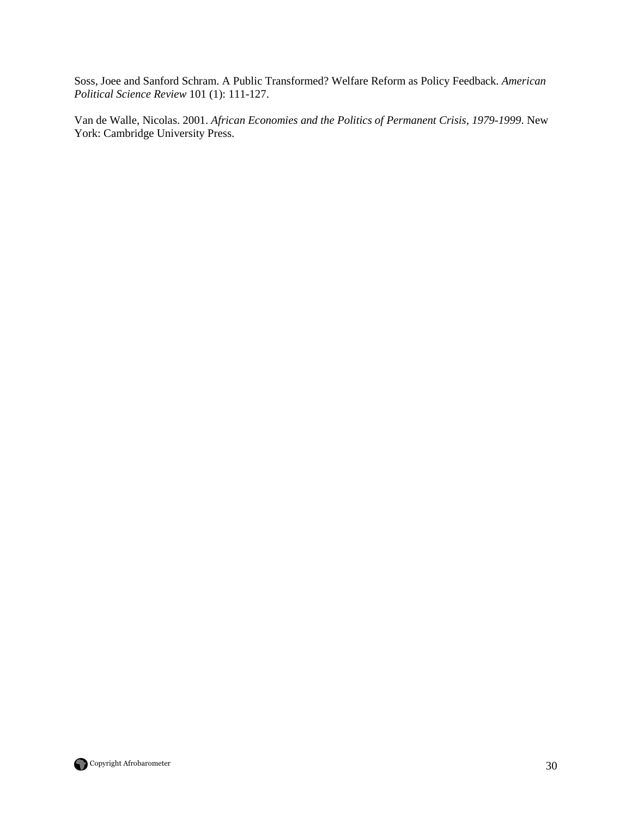Soss, Joee and Sanford Schram. A Public Transformed? Welfare Reform as Policy Feedback. *American Political Science Review* 101 (1): 111-127.

Van de Walle, Nicolas. 2001. *African Economies and the Politics of Permanent Crisis, 1979-1999*. New York: Cambridge University Press.

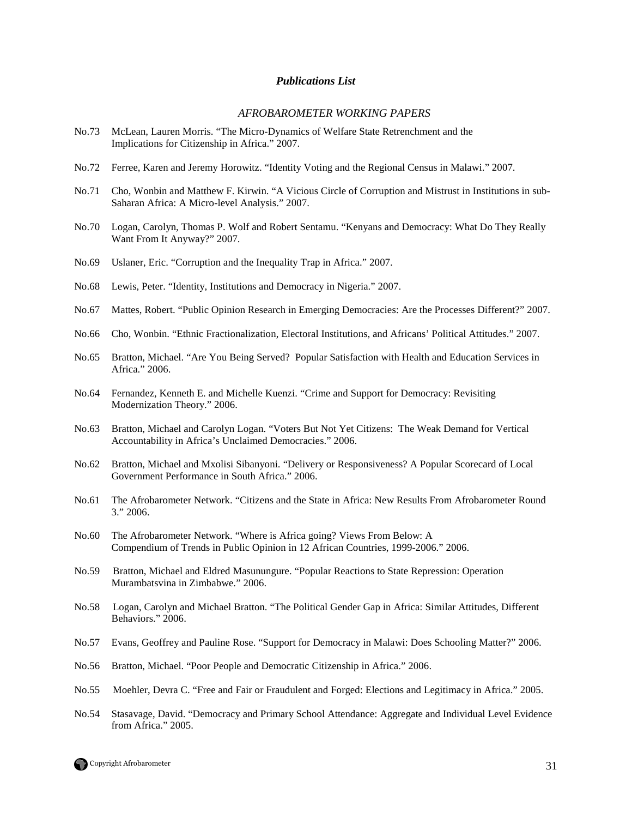#### *Publications List*

#### *AFROBAROMETER WORKING PAPERS*

- No.73 McLean, Lauren Morris. "The Micro-Dynamics of Welfare State Retrenchment and the Implications for Citizenship in Africa." 2007.
- No.72 Ferree, Karen and Jeremy Horowitz. "Identity Voting and the Regional Census in Malawi." 2007.
- No.71 Cho, Wonbin and Matthew F. Kirwin. "A Vicious Circle of Corruption and Mistrust in Institutions in sub-Saharan Africa: A Micro-level Analysis." 2007.
- No.70 Logan, Carolyn, Thomas P. Wolf and Robert Sentamu. "Kenyans and Democracy: What Do They Really Want From It Anyway?" 2007.
- No.69 Uslaner, Eric. "Corruption and the Inequality Trap in Africa." 2007.
- No.68 Lewis, Peter. "Identity, Institutions and Democracy in Nigeria." 2007.
- No.67 Mattes, Robert. "Public Opinion Research in Emerging Democracies: Are the Processes Different?" 2007.
- No.66 Cho, Wonbin. "Ethnic Fractionalization, Electoral Institutions, and Africans' Political Attitudes." 2007.
- No.65 Bratton, Michael. "Are You Being Served? Popular Satisfaction with Health and Education Services in Africa." 2006.
- No.64 Fernandez, Kenneth E. and Michelle Kuenzi. "Crime and Support for Democracy: Revisiting Modernization Theory." 2006.
- No.63 Bratton, Michael and Carolyn Logan. "Voters But Not Yet Citizens: The Weak Demand for Vertical Accountability in Africa's Unclaimed Democracies." 2006.
- No.62 Bratton, Michael and Mxolisi Sibanyoni. "Delivery or Responsiveness? A Popular Scorecard of Local Government Performance in South Africa." 2006.
- No.61 The Afrobarometer Network. "Citizens and the State in Africa: New Results From Afrobarometer Round 3." 2006.
- No.60 The Afrobarometer Network. "Where is Africa going? Views From Below: A Compendium of Trends in Public Opinion in 12 African Countries, 1999-2006." 2006.
- No.59 Bratton, Michael and Eldred Masunungure. "Popular Reactions to State Repression: Operation Murambatsvina in Zimbabwe." 2006.
- No.58 Logan, Carolyn and Michael Bratton. "The Political Gender Gap in Africa: Similar Attitudes, Different Behaviors." 2006.
- No.57 Evans, Geoffrey and Pauline Rose. "Support for Democracy in Malawi: Does Schooling Matter?" 2006.
- No.56 Bratton, Michael. "Poor People and Democratic Citizenship in Africa." 2006.
- No.55 Moehler, Devra C. "Free and Fair or Fraudulent and Forged: Elections and Legitimacy in Africa." 2005.
- No.54 Stasavage, David. "Democracy and Primary School Attendance: Aggregate and Individual Level Evidence from Africa." 2005.

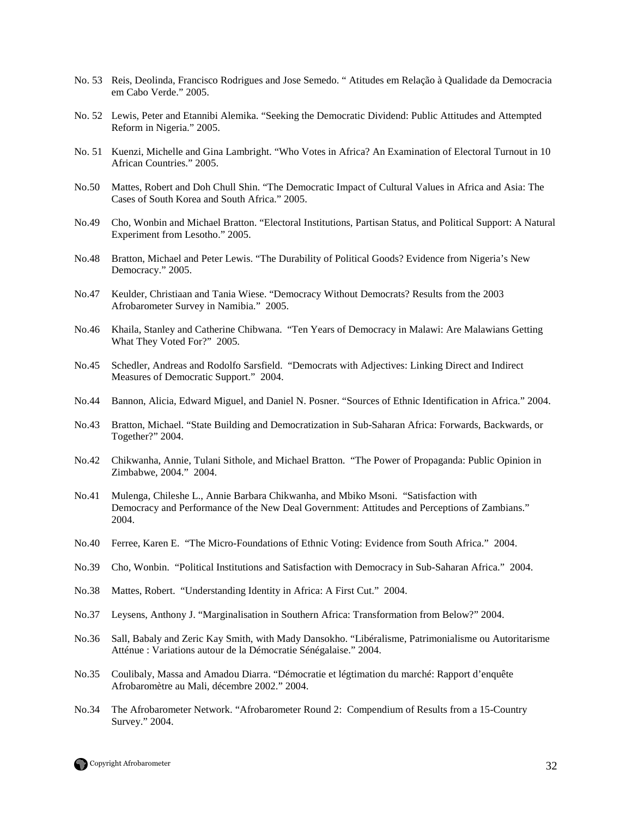- No. 53 Reis, Deolinda, Francisco Rodrigues and Jose Semedo. " Atitudes em Relação à Qualidade da Democracia em Cabo Verde." 2005.
- No. 52 Lewis, Peter and Etannibi Alemika. "Seeking the Democratic Dividend: Public Attitudes and Attempted Reform in Nigeria." 2005.
- No. 51 Kuenzi, Michelle and Gina Lambright. "Who Votes in Africa? An Examination of Electoral Turnout in 10 African Countries." 2005.
- No.50 Mattes, Robert and Doh Chull Shin. "The Democratic Impact of Cultural Values in Africa and Asia: The Cases of South Korea and South Africa." 2005.
- No.49 Cho, Wonbin and Michael Bratton. "Electoral Institutions, Partisan Status, and Political Support: A Natural Experiment from Lesotho." 2005.
- No.48 Bratton, Michael and Peter Lewis. "The Durability of Political Goods? Evidence from Nigeria's New Democracy." 2005.
- No.47 Keulder, Christiaan and Tania Wiese. "Democracy Without Democrats? Results from the 2003 Afrobarometer Survey in Namibia." 2005.
- No.46 Khaila, Stanley and Catherine Chibwana. "Ten Years of Democracy in Malawi: Are Malawians Getting What They Voted For?" 2005.
- No.45 Schedler, Andreas and Rodolfo Sarsfield. "Democrats with Adjectives: Linking Direct and Indirect Measures of Democratic Support." 2004.
- No.44 Bannon, Alicia, Edward Miguel, and Daniel N. Posner. "Sources of Ethnic Identification in Africa." 2004.
- No.43 Bratton, Michael. "State Building and Democratization in Sub-Saharan Africa: Forwards, Backwards, or Together?" 2004.
- No.42 Chikwanha, Annie, Tulani Sithole, and Michael Bratton. "The Power of Propaganda: Public Opinion in Zimbabwe, 2004." 2004.
- No.41 Mulenga, Chileshe L., Annie Barbara Chikwanha, and Mbiko Msoni. "Satisfaction with Democracy and Performance of the New Deal Government: Attitudes and Perceptions of Zambians." 2004.
- No.40 Ferree, Karen E. "The Micro-Foundations of Ethnic Voting: Evidence from South Africa." 2004.
- No.39 Cho, Wonbin. "Political Institutions and Satisfaction with Democracy in Sub-Saharan Africa." 2004.
- No.38 Mattes, Robert. "Understanding Identity in Africa: A First Cut." 2004.
- No.37 Leysens, Anthony J. "Marginalisation in Southern Africa: Transformation from Below?" 2004.
- No.36 Sall, Babaly and Zeric Kay Smith, with Mady Dansokho. "Libéralisme, Patrimonialisme ou Autoritarisme Atténue : Variations autour de la Démocratie Sénégalaise." 2004.
- No.35 Coulibaly, Massa and Amadou Diarra. "Démocratie et légtimation du marché: Rapport d'enquête Afrobaromètre au Mali, décembre 2002." 2004.
- No.34 The Afrobarometer Network. "Afrobarometer Round 2: Compendium of Results from a 15-Country Survey." 2004.

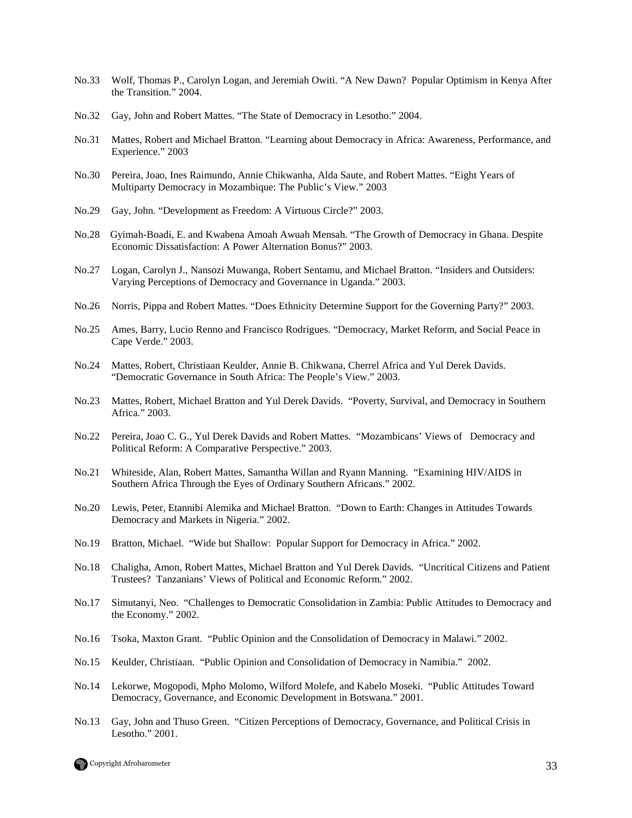- No.33 Wolf, Thomas P., Carolyn Logan, and Jeremiah Owiti. "A New Dawn? Popular Optimism in Kenya After the Transition." 2004.
- No.32 Gay, John and Robert Mattes. "The State of Democracy in Lesotho." 2004.
- No.31 Mattes, Robert and Michael Bratton. "Learning about Democracy in Africa: Awareness, Performance, and Experience." 2003
- No.30 Pereira, Joao, Ines Raimundo, Annie Chikwanha, Alda Saute, and Robert Mattes. "Eight Years of Multiparty Democracy in Mozambique: The Public's View." 2003
- No.29 Gay, John. "Development as Freedom: A Virtuous Circle?" 2003.
- No.28 Gyimah-Boadi, E. and Kwabena Amoah Awuah Mensah. "The Growth of Democracy in Ghana. Despite Economic Dissatisfaction: A Power Alternation Bonus?" 2003.
- No.27 Logan, Carolyn J., Nansozi Muwanga, Robert Sentamu, and Michael Bratton. "Insiders and Outsiders: Varying Perceptions of Democracy and Governance in Uganda." 2003.
- No.26 Norris, Pippa and Robert Mattes. "Does Ethnicity Determine Support for the Governing Party?" 2003.
- No.25 Ames, Barry, Lucio Renno and Francisco Rodrigues. "Democracy, Market Reform, and Social Peace in Cape Verde." 2003.
- No.24 Mattes, Robert, Christiaan Keulder, Annie B. Chikwana, Cherrel Africa and Yul Derek Davids. "Democratic Governance in South Africa: The People's View." 2003.
- No.23 Mattes, Robert, Michael Bratton and Yul Derek Davids. "Poverty, Survival, and Democracy in Southern Africa." 2003.
- No.22 Pereira, Joao C. G., Yul Derek Davids and Robert Mattes. "Mozambicans' Views of Democracy and Political Reform: A Comparative Perspective." 2003.
- No.21 Whiteside, Alan, Robert Mattes, Samantha Willan and Ryann Manning. "Examining HIV/AIDS in Southern Africa Through the Eyes of Ordinary Southern Africans." 2002.
- No.20 Lewis, Peter, Etannibi Alemika and Michael Bratton. "Down to Earth: Changes in Attitudes Towards Democracy and Markets in Nigeria." 2002.
- No.19 Bratton, Michael. "Wide but Shallow: Popular Support for Democracy in Africa." 2002.
- No.18 Chaligha, Amon, Robert Mattes, Michael Bratton and Yul Derek Davids. "Uncritical Citizens and Patient Trustees? Tanzanians' Views of Political and Economic Reform." 2002.
- No.17 Simutanyi, Neo. "Challenges to Democratic Consolidation in Zambia: Public Attitudes to Democracy and the Economy." 2002.
- No.16 Tsoka, Maxton Grant. "Public Opinion and the Consolidation of Democracy in Malawi." 2002.
- No.15 Keulder, Christiaan. "Public Opinion and Consolidation of Democracy in Namibia." 2002.
- No.14 Lekorwe, Mogopodi, Mpho Molomo, Wilford Molefe, and Kabelo Moseki. "Public Attitudes Toward Democracy, Governance, and Economic Development in Botswana." 2001.
- No.13 Gay, John and Thuso Green. "Citizen Perceptions of Democracy, Governance, and Political Crisis in Lesotho." 2001.